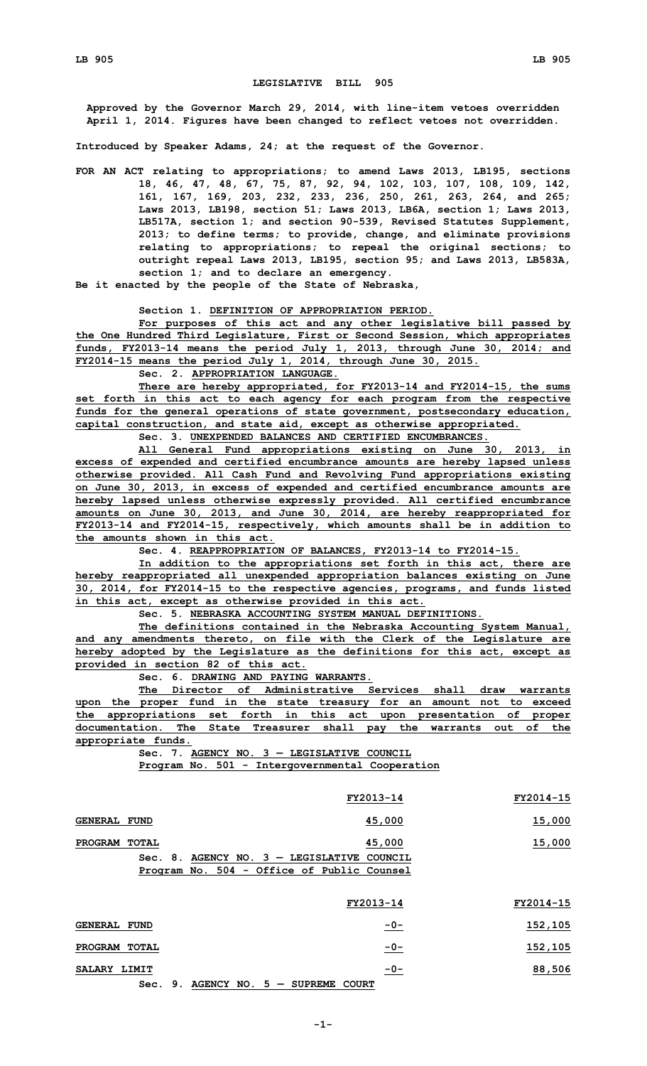## **LEGISLATIVE BILL 905**

**Approved by the Governor March 29, 2014, with line-item vetoes overridden April 1, 2014. Figures have been changed to reflect vetoes not overridden.**

**Introduced by Speaker Adams, 24; at the request of the Governor.**

**FOR AN ACT relating to appropriations; to amend Laws 2013, LB195, sections 18, 46, 47, 48, 67, 75, 87, 92, 94, 102, 103, 107, 108, 109, 142, 161, 167, 169, 203, 232, 233, 236, 250, 261, 263, 264, and 265; Laws 2013, LB198, section 51; Laws 2013, LB6A, section 1; Laws 2013, LB517A, section 1; and section 90-539, Revised Statutes Supplement, 2013; to define terms; to provide, change, and eliminate provisions relating to appropriations; to repeal the original sections; to outright repeal Laws 2013, LB195, section 95; and Laws 2013, LB583A, section 1; and to declare an emergency.**

**Be it enacted by the people of the State of Nebraska,**

**Section 1. DEFINITION OF APPROPRIATION PERIOD.**

**For purposes of this act and any other legislative bill passed by the One Hundred Third Legislature, First or Second Session, which appropriates funds, FY2013-14 means the period July 1, 2013, through June 30, 2014; and FY2014-15 means the period July 1, 2014, through June 30, 2015.**

**Sec. 2. APPROPRIATION LANGUAGE.**

**There are hereby appropriated, for FY2013-14 and FY2014-15, the sums set forth in this act to each agency for each program from the respective funds for the general operations of state government, postsecondary education, capital construction, and state aid, except as otherwise appropriated.**

**Sec. 3. UNEXPENDED BALANCES AND CERTIFIED ENCUMBRANCES.**

**All General Fund appropriations existing on June 30, 2013, in excess of expended and certified encumbrance amounts are hereby lapsed unless otherwise provided. All Cash Fund and Revolving Fund appropriations existing on June 30, 2013, in excess of expended and certified encumbrance amounts are hereby lapsed unless otherwise expressly provided. All certified encumbrance amounts on June 30, 2013, and June 30, 2014, are hereby reappropriated for FY2013-14 and FY2014-15, respectively, which amounts shall be in addition to the amounts shown in this act.**

**Sec. 4. REAPPROPRIATION OF BALANCES, FY2013-14 to FY2014-15.**

**In addition to the appropriations set forth in this act, there are hereby reappropriated all unexpended appropriation balances existing on June 30, 2014, for FY2014-15 to the respective agencies, programs, and funds listed in this act, except as otherwise provided in this act.**

**Sec. 5. NEBRASKA ACCOUNTING SYSTEM MANUAL DEFINITIONS.**

**The definitions contained in the Nebraska Accounting System Manual, and any amendments thereto, on file with the Clerk of the Legislature are hereby adopted by the Legislature as the definitions for this act, except as provided in section 82 of this act.**

**Sec. 6. DRAWING AND PAYING WARRANTS.**

**The Director of Administrative Services shall draw warrants upon the proper fund in the state treasury for an amount not to exceed the appropriations set forth in this act upon presentation of proper documentation. The State Treasurer shall pay the warrants out of the appropriate funds.**

**Sec. 7. AGENCY NO. 3 — LEGISLATIVE COUNCIL**

**Program No. 501 - Intergovernmental Cooperation**

|                     |              |                                                | FY2013-14 | FY2014-15 |
|---------------------|--------------|------------------------------------------------|-----------|-----------|
| <b>GENERAL FUND</b> |              |                                                | 45,000    | 15,000    |
| <b>PROGRAM</b>      | <b>TOTAL</b> |                                                | 45,000    | 15,000    |
|                     |              | $Sec. 8.$ AGENCY NO. $3 - LEGISLATIVE$ COUNCIL |           |           |
|                     |              | Program No. 504 - Office of Public Counsel     |           |           |
|                     |              |                                                | FY2013-14 | FY2014-15 |
| <b>GENERAL FUND</b> |              |                                                | $-0-$     | 152,105   |

**PROGRAM TOTAL -0- 152,105 SALARY LIMIT -0- 88,506 Sec. 9. AGENCY NO. 5 — SUPREME COURT**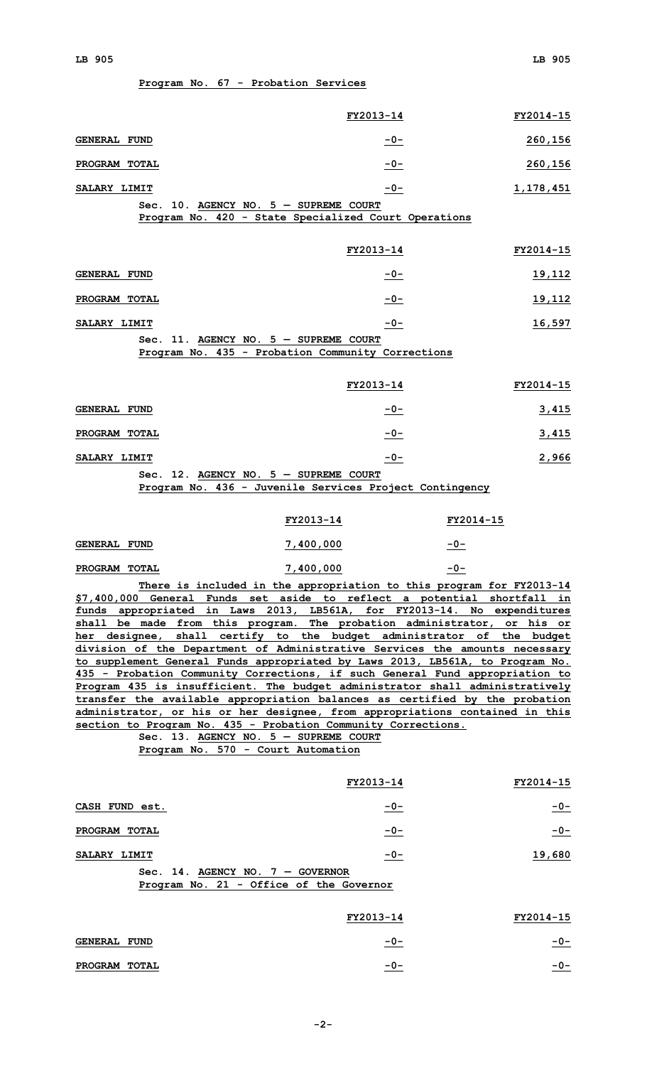|  |  |  |  | Program No. 67 - Probation Services |  |
|--|--|--|--|-------------------------------------|--|
|--|--|--|--|-------------------------------------|--|

|                                                                                                                                                                                                                                                                                                                                                                                                                                                                                                                                                                                                                                                                                                                                                                                                                                                                                                                                                                                            | FY2013-14                                                                                                | FY2014-15                   |
|--------------------------------------------------------------------------------------------------------------------------------------------------------------------------------------------------------------------------------------------------------------------------------------------------------------------------------------------------------------------------------------------------------------------------------------------------------------------------------------------------------------------------------------------------------------------------------------------------------------------------------------------------------------------------------------------------------------------------------------------------------------------------------------------------------------------------------------------------------------------------------------------------------------------------------------------------------------------------------------------|----------------------------------------------------------------------------------------------------------|-----------------------------|
| <b>GENERAL FUND</b>                                                                                                                                                                                                                                                                                                                                                                                                                                                                                                                                                                                                                                                                                                                                                                                                                                                                                                                                                                        | <u>-0-</u>                                                                                               | 260, 156                    |
| PROGRAM TOTAL                                                                                                                                                                                                                                                                                                                                                                                                                                                                                                                                                                                                                                                                                                                                                                                                                                                                                                                                                                              | $-0-$                                                                                                    | 260,156                     |
| SALARY LIMIT                                                                                                                                                                                                                                                                                                                                                                                                                                                                                                                                                                                                                                                                                                                                                                                                                                                                                                                                                                               | $-0-$                                                                                                    | 1,178,451                   |
| Sec. 10. AGENCY NO. $5 -$ SUPREME COURT                                                                                                                                                                                                                                                                                                                                                                                                                                                                                                                                                                                                                                                                                                                                                                                                                                                                                                                                                    | Program No. 420 - State Specialized Court Operations                                                     |                             |
|                                                                                                                                                                                                                                                                                                                                                                                                                                                                                                                                                                                                                                                                                                                                                                                                                                                                                                                                                                                            | FY2013-14                                                                                                | FY2014-15                   |
| <b>GENERAL FUND</b>                                                                                                                                                                                                                                                                                                                                                                                                                                                                                                                                                                                                                                                                                                                                                                                                                                                                                                                                                                        |                                                                                                          | <u>19,112</u>               |
| PROGRAM TOTAL                                                                                                                                                                                                                                                                                                                                                                                                                                                                                                                                                                                                                                                                                                                                                                                                                                                                                                                                                                              | $-0-$<br>$-0-$                                                                                           | 19,112                      |
| SALARY LIMIT                                                                                                                                                                                                                                                                                                                                                                                                                                                                                                                                                                                                                                                                                                                                                                                                                                                                                                                                                                               | $-0-$                                                                                                    | 16,597                      |
| Sec. 11. AGENCY NO. $5 -$ SUPREME COURT                                                                                                                                                                                                                                                                                                                                                                                                                                                                                                                                                                                                                                                                                                                                                                                                                                                                                                                                                    |                                                                                                          |                             |
|                                                                                                                                                                                                                                                                                                                                                                                                                                                                                                                                                                                                                                                                                                                                                                                                                                                                                                                                                                                            | Program No. 435 - Probation Community Corrections                                                        |                             |
|                                                                                                                                                                                                                                                                                                                                                                                                                                                                                                                                                                                                                                                                                                                                                                                                                                                                                                                                                                                            | FY2013-14                                                                                                | FY2014-15                   |
| <b>GENERAL FUND</b>                                                                                                                                                                                                                                                                                                                                                                                                                                                                                                                                                                                                                                                                                                                                                                                                                                                                                                                                                                        | $-0-$                                                                                                    | 3,415                       |
| PROGRAM TOTAL                                                                                                                                                                                                                                                                                                                                                                                                                                                                                                                                                                                                                                                                                                                                                                                                                                                                                                                                                                              | $-0-$                                                                                                    | 3,415                       |
| SALARY LIMIT                                                                                                                                                                                                                                                                                                                                                                                                                                                                                                                                                                                                                                                                                                                                                                                                                                                                                                                                                                               | $-0-$                                                                                                    | 2,966                       |
| Sec. 12. AGENCY NO. $5 -$ SUPREME COURT                                                                                                                                                                                                                                                                                                                                                                                                                                                                                                                                                                                                                                                                                                                                                                                                                                                                                                                                                    | Program No. 436 - Juvenile Services Project Contingency                                                  |                             |
|                                                                                                                                                                                                                                                                                                                                                                                                                                                                                                                                                                                                                                                                                                                                                                                                                                                                                                                                                                                            |                                                                                                          |                             |
|                                                                                                                                                                                                                                                                                                                                                                                                                                                                                                                                                                                                                                                                                                                                                                                                                                                                                                                                                                                            | FY2013-14                                                                                                | FY2014-15                   |
| <b>GENERAL FUND</b><br>PROGRAM TOTAL                                                                                                                                                                                                                                                                                                                                                                                                                                                                                                                                                                                                                                                                                                                                                                                                                                                                                                                                                       | 7,400,000<br>7,400,000                                                                                   | $-0-$<br>$-0-$              |
| \$7,400,000 General Funds set aside to reflect a potential shortfall in<br>funds appropriated in Laws 2013, LB561A, for FY2013-14. No expenditures<br>shall be made from this program. The probation administrator, or his or<br>her designee, shall certify to the budget administrator of the budget<br>division of the Department of Administrative Services the amounts necessary<br>to supplement General Funds appropriated by Laws 2013, LB561A, to Program No.<br>435 - Probation Community Corrections, if such General Fund appropriation to<br>Program 435 is insufficient. The budget administrator shall administratively<br>transfer the available appropriation balances as certified by the probation<br>administrator, or his or her designee, from appropriations contained in this<br>section to Program No. 435 - Probation Community Corrections.<br>Sec. 13. AGENCY NO. $5 -$ SUPREME COURT<br>Program No. 570 - Court Automation<br>CASH FUND est.<br>PROGRAM TOTAL | There is included in the appropriation to this program for FY2013-14<br>FY2013-14<br><u>-0-</u><br>$-0-$ | FY2014-15<br>$-0-$<br>$-0-$ |
|                                                                                                                                                                                                                                                                                                                                                                                                                                                                                                                                                                                                                                                                                                                                                                                                                                                                                                                                                                                            |                                                                                                          |                             |
| SALARY LIMIT<br>Sec. 14. AGENCY NO. $7 -$ GOVERNOR                                                                                                                                                                                                                                                                                                                                                                                                                                                                                                                                                                                                                                                                                                                                                                                                                                                                                                                                         | $-0-$                                                                                                    | 19,680                      |
| Program No. 21 - Office of the Governor                                                                                                                                                                                                                                                                                                                                                                                                                                                                                                                                                                                                                                                                                                                                                                                                                                                                                                                                                    |                                                                                                          |                             |
|                                                                                                                                                                                                                                                                                                                                                                                                                                                                                                                                                                                                                                                                                                                                                                                                                                                                                                                                                                                            | FY2013-14                                                                                                | FY2014-15                   |
| <b>GENERAL FUND</b>                                                                                                                                                                                                                                                                                                                                                                                                                                                                                                                                                                                                                                                                                                                                                                                                                                                                                                                                                                        | $-0-$                                                                                                    | <u>-0-</u>                  |
| PROGRAM TOTAL                                                                                                                                                                                                                                                                                                                                                                                                                                                                                                                                                                                                                                                                                                                                                                                                                                                                                                                                                                              | $-0-$                                                                                                    | $-0-$                       |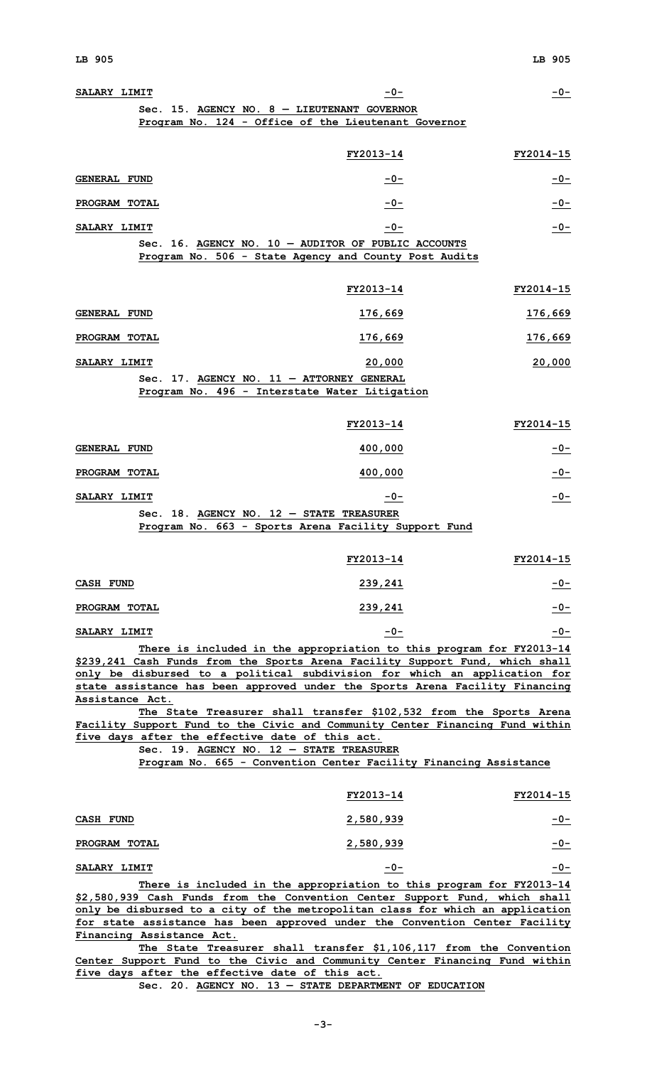| SALARY LIMIT              | $-0-$                                                                                                                                                         | $-0-$            |
|---------------------------|---------------------------------------------------------------------------------------------------------------------------------------------------------------|------------------|
|                           | Sec. 15. AGENCY NO. $8 -$ LIEUTENANT GOVERNOR<br>Program No. 124 - Office of the Lieutenant Governor                                                          |                  |
|                           |                                                                                                                                                               |                  |
|                           | FY2013-14                                                                                                                                                     | FY2014-15        |
| <b>GENERAL FUND</b>       | $-0-$                                                                                                                                                         | $-0-$            |
| PROGRAM TOTAL             | $-0-$                                                                                                                                                         | $-0-$            |
| SALARY LIMIT              | $-0-$                                                                                                                                                         | $-0-$            |
|                           | Sec. 16. AGENCY NO. 10 - AUDITOR OF PUBLIC ACCOUNTS<br>Program No. 506 - State Agency and County Post Audits                                                  |                  |
|                           | FY2013-14                                                                                                                                                     | <b>FY2014-15</b> |
| <b>GENERAL FUND</b>       | 176,669                                                                                                                                                       | 176,669          |
| PROGRAM TOTAL             | 176,669                                                                                                                                                       | 176,669          |
| SALARY LIMIT              | 20,000                                                                                                                                                        | 20,000           |
|                           | Sec. 17. AGENCY NO. 11 - ATTORNEY GENERAL                                                                                                                     |                  |
|                           | Program No. 496 - Interstate Water Litigation                                                                                                                 |                  |
|                           | FY2013-14                                                                                                                                                     | FY2014-15        |
| <b>GENERAL FUND</b>       | <u>400,000</u>                                                                                                                                                | $-0-$            |
| PROGRAM TOTAL             | 400,000                                                                                                                                                       | $-0-$            |
| SALARY LIMIT              | $-0-$                                                                                                                                                         | $-0-$            |
|                           | Sec. 18. AGENCY NO. $12$ - STATE TREASURER<br>Program No. 663 - Sports Arena Facility Support Fund                                                            |                  |
|                           |                                                                                                                                                               |                  |
|                           | FY2013-14                                                                                                                                                     | FY2014-15        |
| <b>CASH FUND</b>          | 239,241                                                                                                                                                       | <u>-0-</u>       |
| PROGRAM TOTAL             | 239,241                                                                                                                                                       | <u>-0-</u>       |
| SALARY LIMIT              | $-0-$                                                                                                                                                         | $-0-$            |
|                           | There is included in the appropriation to this program for FY2013-14                                                                                          |                  |
|                           | \$239,241 Cash Funds from the Sports Arena Facility Support Fund, which shall<br>only be disbursed to a political subdivision for which an application for    |                  |
|                           | state assistance has been approved under the Sports Arena Facility Financing                                                                                  |                  |
| Assistance Act.           | The State Treasurer shall transfer \$102,532 from the Sports Arena                                                                                            |                  |
|                           | Facility Support Fund to the Civic and Community Center Financing Fund within                                                                                 |                  |
|                           | five days after the effective date of this act.<br>Sec. 19. AGENCY NO. 12 - STATE TREASURER                                                                   |                  |
|                           | Program No. 665 - Convention Center Facility Financing Assistance                                                                                             |                  |
|                           |                                                                                                                                                               |                  |
|                           | FY2013-14                                                                                                                                                     | FY2014-15        |
| <b>CASH FUND</b>          | <u>2,580,939</u>                                                                                                                                              | <u>-0-</u>       |
| PROGRAM TOTAL             | 2,580,939                                                                                                                                                     | $-0-$            |
| SALARY LIMIT              | $-0-$                                                                                                                                                         | $-0-$            |
|                           | There is included in the appropriation to this program for FY2013-14                                                                                          |                  |
|                           | \$2,580,939 Cash Funds from the Convention Center Support Fund, which shall<br>only be disbursed to a city of the metropolitan class for which an application |                  |
|                           | for state assistance has been approved under the Convention Center Facility                                                                                   |                  |
| Financing Assistance Act. |                                                                                                                                                               |                  |
|                           | The State Treasurer shall transfer \$1,106,117 from the Convention<br>Center Support Fund to the Civic and Community Center Financing Fund within             |                  |

**five days after the effective date of this act. Sec. 20. AGENCY NO. 13 — STATE DEPARTMENT OF EDUCATION**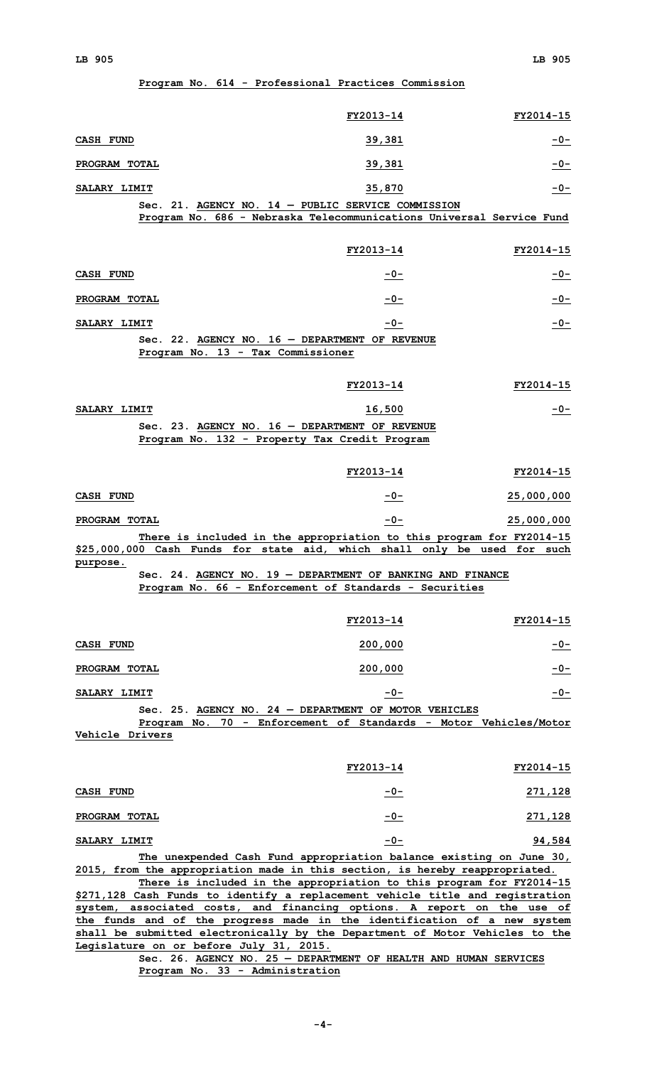# **Program No. 614 - Professional Practices Commission**

|                                                                                                                         | FY2013-14 | FY2014-15                                                            |
|-------------------------------------------------------------------------------------------------------------------------|-----------|----------------------------------------------------------------------|
| <b>CASH FUND</b>                                                                                                        | 39,381    | $-0-$                                                                |
| PROGRAM TOTAL                                                                                                           | 39,381    | $-0-$                                                                |
| SALARY LIMIT                                                                                                            | 35,870    | $-0-$                                                                |
| $Sec. 21.$ AGENCY NO. 14 - PUBLIC SERVICE COMMISSION                                                                    |           |                                                                      |
|                                                                                                                         |           | Program No. 686 - Nebraska Telecommunications Universal Service Fund |
|                                                                                                                         | FY2013-14 | FY2014-15                                                            |
| <b>CASH FUND</b>                                                                                                        | $-0-$     | $-0-$                                                                |
| PROGRAM TOTAL                                                                                                           | $-0-$     | $-0-$                                                                |
| SALARY LIMIT                                                                                                            | $-0-$     | $-0-$                                                                |
| Sec. 22. AGENCY NO. $16$ - DEPARTMENT OF REVENUE<br>Program No. 13 - Tax Commissioner                                   |           |                                                                      |
|                                                                                                                         | FY2013-14 | FY2014-15                                                            |
| SALARY LIMIT                                                                                                            | 16,500    | $-0-$                                                                |
| Sec. 23. AGENCY NO. $16$ - DEPARTMENT OF REVENUE                                                                        |           |                                                                      |
| Program No. 132 - Property Tax Credit Program                                                                           |           |                                                                      |
|                                                                                                                         | FY2013-14 | FY2014-15                                                            |
| CASH FUND                                                                                                               | $-0-$     | 25,000,000                                                           |
| PROGRAM TOTAL                                                                                                           | $-0-$     | 25,000,000                                                           |
|                                                                                                                         |           | There is included in the appropriation to this program for FY2014-15 |
| \$25,000,000 Cash Funds for state aid, which shall only be used for such<br>purpose.                                    |           |                                                                      |
| Sec. 24. AGENCY NO. 19 - DEPARTMENT OF BANKING AND FINANCE<br>Program No. 66 - Enforcement of Standards - Securities    |           |                                                                      |
|                                                                                                                         | FY2013-14 | FY2014-15                                                            |
| <b>CASH FUND</b>                                                                                                        | 200,000   | $-0-$                                                                |
| <b>PROGRAM TOTAL</b>                                                                                                    | 200,000   | $-0-$                                                                |
| SALARY LIMIT                                                                                                            | $-0-$     | $-0-$                                                                |
| Sec. 25. AGENCY NO. 24 - DEPARTMENT OF MOTOR VEHICLES                                                                   |           |                                                                      |
| <b>Vehicle Drivers</b>                                                                                                  |           | Program No. 70 - Enforcement of Standards - Motor Vehicles/Motor     |
|                                                                                                                         |           |                                                                      |
|                                                                                                                         | FY2013-14 | FY2014-15                                                            |
| CASH FUND                                                                                                               | $-0-$     | <u>271,128</u>                                                       |
| PROGRAM TOTAL                                                                                                           | $-0-$     | <u>271,128</u>                                                       |
| <b>SALARY LIMIT</b>                                                                                                     | $-0-$     | 94,584                                                               |
|                                                                                                                         |           | The unexpended Cash Fund appropriation balance existing on June 30,  |
| 2015, from the appropriation made in this section, is hereby reappropriated.                                            |           | There is included in the appropriation to this program for FY2014-15 |
| \$271,128 Cash Funds to identify a replacement vehicle title and registration                                           |           |                                                                      |
| system, associated costs, and financing options. A report on the use of                                                 |           |                                                                      |
| the funds and of the progress made in the identification of a new system                                                |           |                                                                      |
| shall be submitted electronically by the Department of Motor Vehicles to the<br>Legislature on or before July 31, 2015. |           |                                                                      |

**Sec. 26. AGENCY NO. 25 — DEPARTMENT OF HEALTH AND HUMAN SERVICES Program No. 33 - Administration**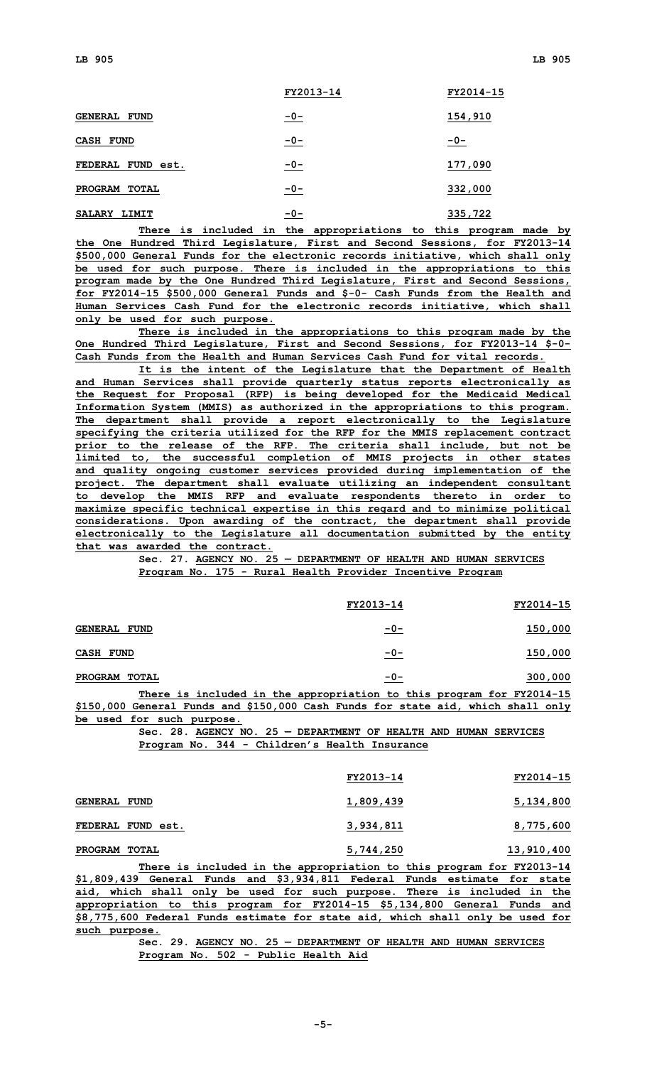|                               | FY2013-14 | FY2014-15 |
|-------------------------------|-----------|-----------|
| <b>GENERAL</b><br><b>FUND</b> | $-0-$     | 154,910   |
| CASH<br><b>FUND</b>           | $-0-$     | $-0-$     |
| <b>FEDERAL</b><br>FUND est.   | $-0-$     | 177,090   |
| PROGRAM<br>TOTAL              | $-0-$     | 332,000   |
| <b>SALARY</b><br>LIMIT        | $-0-$     | 335,722   |

**There is included in the appropriations to this program made by the One Hundred Third Legislature, First and Second Sessions, for FY2013-14 \$500,000 General Funds for the electronic records initiative, which shall only be used for such purpose. There is included in the appropriations to this program made by the One Hundred Third Legislature, First and Second Sessions, for FY2014-15 \$500,000 General Funds and \$-0- Cash Funds from the Health and Human Services Cash Fund for the electronic records initiative, which shall only be used for such purpose.**

**There is included in the appropriations to this program made by the One Hundred Third Legislature, First and Second Sessions, for FY2013-14 \$-0- Cash Funds from the Health and Human Services Cash Fund for vital records.**

**It is the intent of the Legislature that the Department of Health and Human Services shall provide quarterly status reports electronically as the Request for Proposal (RFP) is being developed for the Medicaid Medical Information System (MMIS) as authorized in the appropriations to this program. The department shall provide <sup>a</sup> report electronically to the Legislature specifying the criteria utilized for the RFP for the MMIS replacement contract prior to the release of the RFP. The criteria shall include, but not be limited to, the successful completion of MMIS projects in other states and quality ongoing customer services provided during implementation of the project. The department shall evaluate utilizing an independent consultant to develop the MMIS RFP and evaluate respondents thereto in order to maximize specific technical expertise in this regard and to minimize political considerations. Upon awarding of the contract, the department shall provide electronically to the Legislature all documentation submitted by the entity that was awarded the contract.**

**Sec. 27. AGENCY NO. 25 — DEPARTMENT OF HEALTH AND HUMAN SERVICES Program No. 175 - Rural Health Provider Incentive Program**

|                                |  |  | FY2013-14                                                            |       |  | FY2014-15 |
|--------------------------------|--|--|----------------------------------------------------------------------|-------|--|-----------|
| <b>GENERAL FUND</b>            |  |  |                                                                      | $-0-$ |  | 150,000   |
| CASH FUND                      |  |  |                                                                      | $-0-$ |  | 150,000   |
| <b>PROGRAM</b><br><b>TOTAL</b> |  |  |                                                                      | $-0-$ |  | 300,000   |
|                                |  |  | There is included in the appropriation to this program for FY2014-15 |       |  |           |

**\$150,000 General Funds and \$150,000 Cash Funds for state aid, which shall only be used for such purpose.**

**Sec. 28. AGENCY NO. 25 — DEPARTMENT OF HEALTH AND HUMAN SERVICES Program No. 344 - Children's Health Insurance**

|                     | FY2013-14 | FY2014-15  |
|---------------------|-----------|------------|
| <b>GENERAL FUND</b> | 1,809,439 | 5,134,800  |
| FEDERAL FUND est.   | 3,934,811 | 8,775,600  |
| PROGRAM TOTAL       | 5,744,250 | 13,910,400 |
|                     |           |            |

**There is included in the appropriation to this program for FY2013-14 \$1,809,439 General Funds and \$3,934,811 Federal Funds estimate for state aid, which shall only be used for such purpose. There is included in the appropriation to this program for FY2014-15 \$5,134,800 General Funds and \$8,775,600 Federal Funds estimate for state aid, which shall only be used for such purpose.**

**Sec. 29. AGENCY NO. 25 — DEPARTMENT OF HEALTH AND HUMAN SERVICES Program No. 502 - Public Health Aid**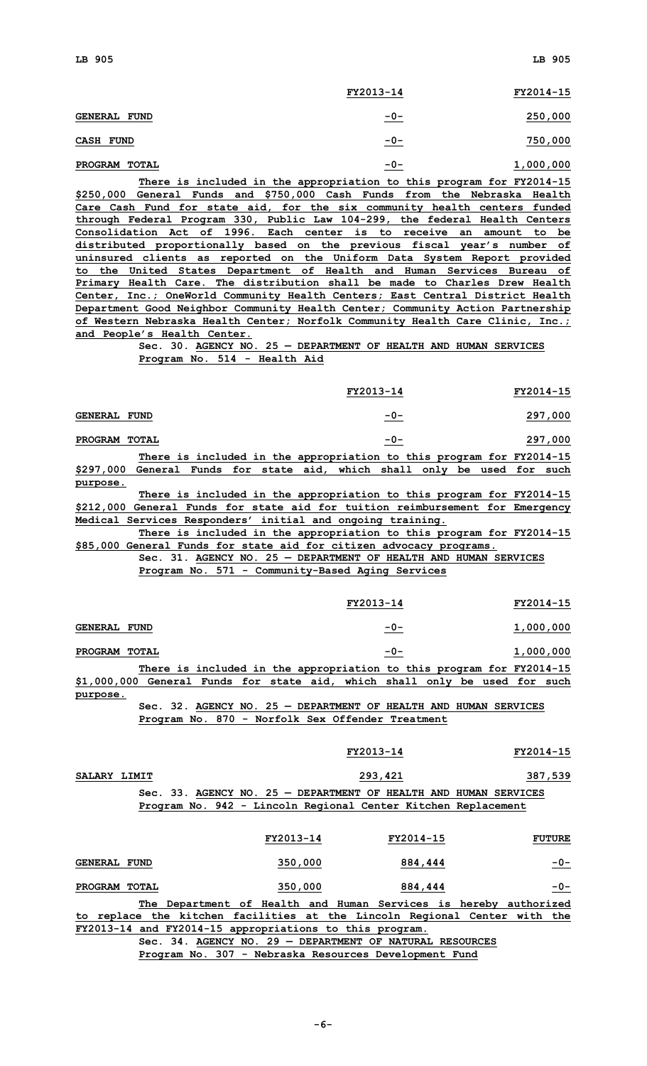|                                | FY2013-14 | FY2014-15 |
|--------------------------------|-----------|-----------|
| <b>GENERAL FUND</b>            | $-0-$     | 250,000   |
| <b>CASH FUND</b>               | $-0-$     | 750,000   |
| <b>PROGRAM</b><br><b>TOTAL</b> | $-0-$     | 1,000,000 |

**There is included in the appropriation to this program for FY2014-15 \$250,000 General Funds and \$750,000 Cash Funds from the Nebraska Health Care Cash Fund for state aid, for the six community health centers funded through Federal Program 330, Public Law 104-299, the federal Health Centers Consolidation Act of 1996. Each center is to receive an amount to be distributed proportionally based on the previous fiscal year's number of uninsured clients as reported on the Uniform Data System Report provided to the United States Department of Health and Human Services Bureau of Primary Health Care. The distribution shall be made to Charles Drew Health Center, Inc.; OneWorld Community Health Centers; East Central District Health Department Good Neighbor Community Health Center; Community Action Partnership of Western Nebraska Health Center; Norfolk Community Health Care Clinic, Inc.; and People's Health Center.**

> **Sec. 30. AGENCY NO. 25 — DEPARTMENT OF HEALTH AND HUMAN SERVICES Program No. 514 - Health Aid**

|                     |  |  | FY2013-14                                                              |       |  | FY2014-15 |
|---------------------|--|--|------------------------------------------------------------------------|-------|--|-----------|
| <b>GENERAL FUND</b> |  |  |                                                                        | $-0-$ |  | 297,000   |
| PROGRAM TOTAL       |  |  |                                                                        | $-0-$ |  | 297,000   |
|                     |  |  | There is included in the appropriation to this program for $FV2014-15$ |       |  |           |

**There is included in the appropriation to this program for FY2014-15 \$297,000 General Funds for state aid, which shall only be used for such purpose.**

**There is included in the appropriation to this program for FY2014-15 \$212,000 General Funds for state aid for tuition reimbursement for Emergency Medical Services Responders' initial and ongoing training.**

**There is included in the appropriation to this program for FY2014-15 \$85,000 General Funds for state aid for citizen advocacy programs.**

**Sec. 31. AGENCY NO. 25 — DEPARTMENT OF HEALTH AND HUMAN SERVICES Program No. 571 - Community-Based Aging Services**

|                                                                            |       |                                                                      |  |  | FY2013-14 |  |  | FY2014-15       |  |
|----------------------------------------------------------------------------|-------|----------------------------------------------------------------------|--|--|-----------|--|--|-----------------|--|
| <b>GENERAL FUND</b>                                                        |       |                                                                      |  |  | $-0-$     |  |  | 1,000,000       |  |
| PROGRAM                                                                    | TOTAL |                                                                      |  |  | $-0-$     |  |  | 1,000,000       |  |
|                                                                            |       | There is included in the appropriation to this program for FY2014-15 |  |  |           |  |  |                 |  |
| \$1,000,000 General Funds for state aid, which shall only be used for such |       |                                                                      |  |  |           |  |  |                 |  |
| purpose.                                                                   |       |                                                                      |  |  |           |  |  |                 |  |
|                                                                            |       | $Sec. 32. AGENCY NO. 25 - DEPARTMENT OF HEALTH AND HUMAN$            |  |  |           |  |  | <b>SERVICES</b> |  |

**Program No. 870 - Norfolk Sex Offender Treatment**

| SALARY LIMIT |  |  |  |                                                               | 293,421 |  |                                                                  | 387,539 |
|--------------|--|--|--|---------------------------------------------------------------|---------|--|------------------------------------------------------------------|---------|
|              |  |  |  |                                                               |         |  | Sec. 33. AGENCY NO. 25 - DEPARTMENT OF HEALTH AND HUMAN SERVICES |         |
|              |  |  |  | Program No. 942 - Lincoln Regional Center Kitchen Replacement |         |  |                                                                  |         |

**FY2013-14 FY2014-15**

|                     |  |                                                                           | FY2013-14 |  |  | FY2014-15 |  | <b>FUTURE</b> |
|---------------------|--|---------------------------------------------------------------------------|-----------|--|--|-----------|--|---------------|
| <b>GENERAL FUND</b> |  |                                                                           | 350,000   |  |  | 884,444   |  | $-0-$         |
| PROGRAM TOTAL       |  |                                                                           | 350,000   |  |  | 884,444   |  | $-0-$         |
|                     |  | The Department of Health and Human Services is hereby authorized          |           |  |  |           |  |               |
|                     |  | to replace the kitchen facilities at the Lincoln Regional Center with the |           |  |  |           |  |               |

**FY2013-14 and FY2014-15 appropriations to this program. Sec. 34. AGENCY NO. 29 — DEPARTMENT OF NATURAL RESOURCES**

**Program No. 307 - Nebraska Resources Development Fund**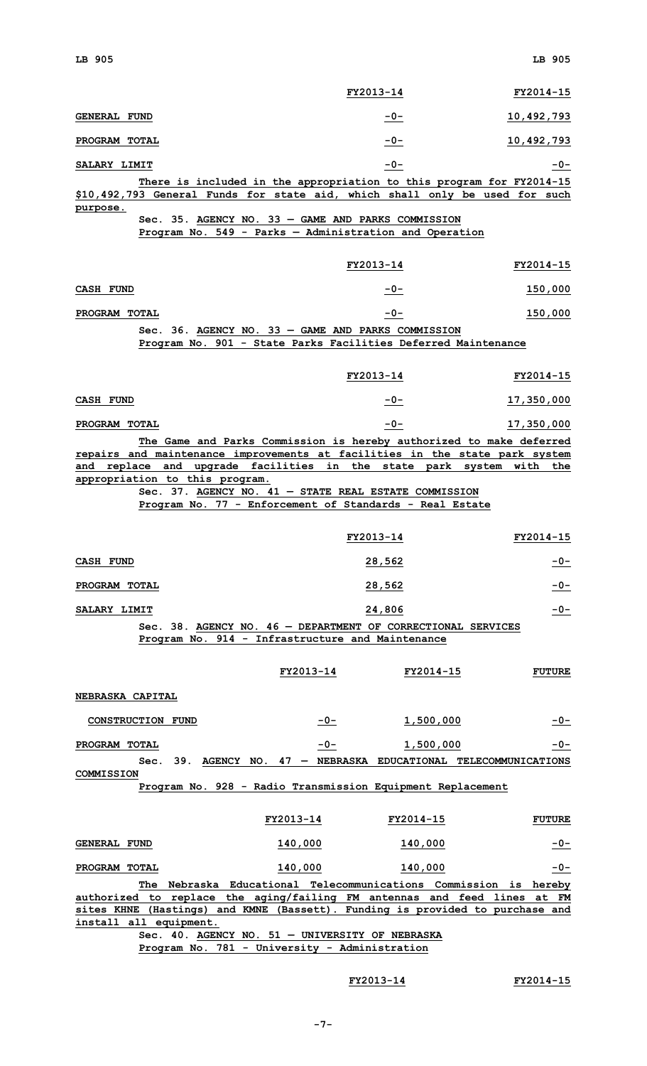|                                                                                                                                                                                       |                                                                                                                                                                                      | FY2013-14 | FY2014-15     |
|---------------------------------------------------------------------------------------------------------------------------------------------------------------------------------------|--------------------------------------------------------------------------------------------------------------------------------------------------------------------------------------|-----------|---------------|
| <b>GENERAL FUND</b>                                                                                                                                                                   |                                                                                                                                                                                      | $-0-$     | 10,492,793    |
| PROGRAM TOTAL                                                                                                                                                                         |                                                                                                                                                                                      | $-0-$     | 10,492,793    |
| SALARY LIMIT                                                                                                                                                                          |                                                                                                                                                                                      | $-0-$     | $-0-$         |
| \$10,492,793 General Funds for state aid, which shall only be used for such<br>purpose.                                                                                               | There is included in the appropriation to this program for FY2014-15<br>Sec. 35. AGENCY NO. 33 - GAME AND PARKS COMMISSION<br>Program No. 549 - Parks - Administration and Operation |           |               |
|                                                                                                                                                                                       |                                                                                                                                                                                      | FY2013-14 | FY2014-15     |
| <b>CASH FUND</b>                                                                                                                                                                      |                                                                                                                                                                                      | $-0-$     | 150,000       |
| PROGRAM TOTAL                                                                                                                                                                         |                                                                                                                                                                                      | $-0-$     | 150,000       |
|                                                                                                                                                                                       | Sec. 36. AGENCY NO. 33 - GAME AND PARKS COMMISSION                                                                                                                                   |           |               |
|                                                                                                                                                                                       | Program No. 901 - State Parks Facilities Deferred Maintenance                                                                                                                        |           |               |
|                                                                                                                                                                                       |                                                                                                                                                                                      | FY2013-14 | FY2014-15     |
| CASH FUND                                                                                                                                                                             |                                                                                                                                                                                      | $-0-$     | 17,350,000    |
| PROGRAM TOTAL                                                                                                                                                                         |                                                                                                                                                                                      | $-0-$     | 17,350,000    |
| repairs and maintenance improvements at facilities in the state park system<br>and replace and upgrade facilities in the state park system with the<br>appropriation to this program. | The Game and Parks Commission is hereby authorized to make deferred<br>Sec. 37. AGENCY NO. $41$ - STATE REAL ESTATE COMMISSION                                                       |           |               |
|                                                                                                                                                                                       | Program No. 77 - Enforcement of Standards - Real Estate                                                                                                                              |           |               |
|                                                                                                                                                                                       |                                                                                                                                                                                      | FY2013-14 | FY2014-15     |
| <b>CASH FUND</b>                                                                                                                                                                      |                                                                                                                                                                                      | 28,562    | $-0-$         |
| PROGRAM TOTAL                                                                                                                                                                         |                                                                                                                                                                                      | 28,562    | $-0-$         |
| SALARY LIMIT                                                                                                                                                                          |                                                                                                                                                                                      | 24,806    | $-0-$         |
|                                                                                                                                                                                       | Sec. 38. AGENCY NO. 46 - DEPARTMENT OF CORRECTIONAL SERVICES<br>Program No. 914 - Infrastructure and Maintenance                                                                     |           |               |
|                                                                                                                                                                                       |                                                                                                                                                                                      |           |               |
|                                                                                                                                                                                       | FY2013-14                                                                                                                                                                            | FY2014-15 | <b>FUTURE</b> |
| NEBRASKA CAPITAL                                                                                                                                                                      |                                                                                                                                                                                      |           |               |
| CONSTRUCTION FUND                                                                                                                                                                     | $-0-$                                                                                                                                                                                | 1,500,000 | $-0-$         |
| PROGRAM TOTAL                                                                                                                                                                         | $-0-$                                                                                                                                                                                | 1,500,000 | $-0-$         |
| <b>COMMISSION</b>                                                                                                                                                                     | Sec. 39. AGENCY NO. 47 - NEBRASKA EDUCATIONAL TELECOMMUNICATIONS<br>Program No. 928 - Radio Transmission Equipment Replacement                                                       |           |               |
|                                                                                                                                                                                       |                                                                                                                                                                                      |           |               |
|                                                                                                                                                                                       | FY2013-14                                                                                                                                                                            | FY2014-15 | <b>FUTURE</b> |
| <b>GENERAL FUND</b>                                                                                                                                                                   | 140,000                                                                                                                                                                              | 140,000   | $-0-$         |
| PROGRAM TOTAL                                                                                                                                                                         |                                                                                                                                                                                      |           | $-0-$         |
|                                                                                                                                                                                       | 140,000                                                                                                                                                                              | 140,000   |               |
|                                                                                                                                                                                       | The Nebraska Educational Telecommunications Commission is hereby                                                                                                                     |           | FM            |
| authorized to replace the aging/failing FM antennas and feed lines at<br>sites KHNE (Hastings) and KMNE (Bassett). Funding is provided to purchase and<br>install all equipment.      |                                                                                                                                                                                      |           |               |

**Sec. 40. AGENCY NO. 51 — UNIVERSITY OF NEBRASKA Program No. 781 - University - Administration**

## **FY2013-14 FY2014-15**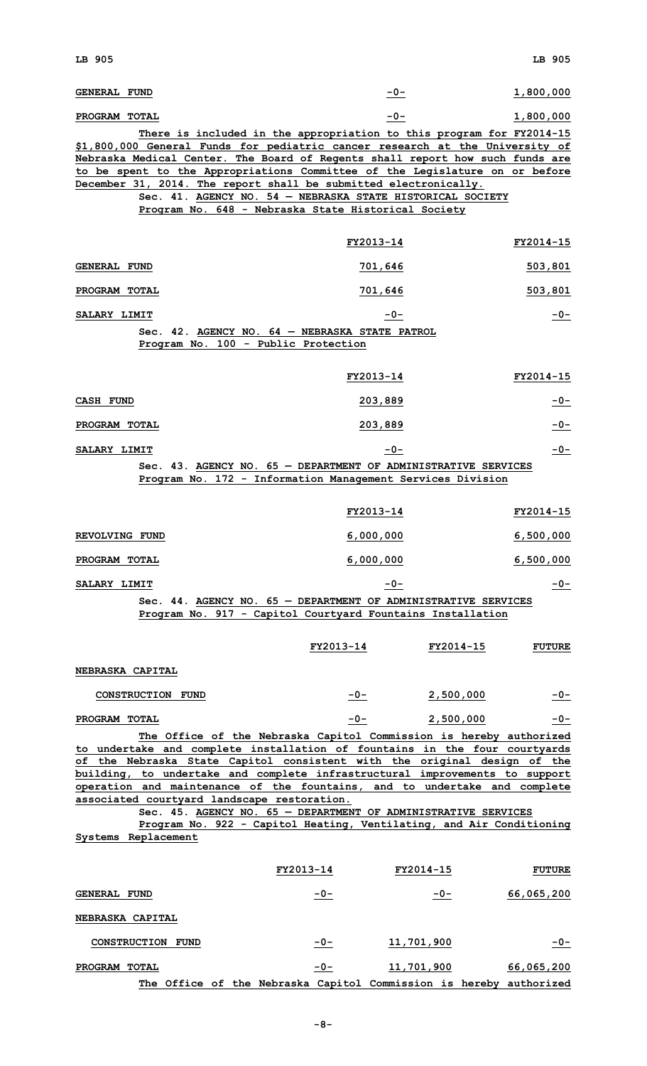| <b>GENERAL FUND</b>                                                                                                                                                                                                                                                                                                                                                                                                                                                                                                                                                                                      | $-0-$            |            | 1,800,000     |
|----------------------------------------------------------------------------------------------------------------------------------------------------------------------------------------------------------------------------------------------------------------------------------------------------------------------------------------------------------------------------------------------------------------------------------------------------------------------------------------------------------------------------------------------------------------------------------------------------------|------------------|------------|---------------|
| PROGRAM TOTAL                                                                                                                                                                                                                                                                                                                                                                                                                                                                                                                                                                                            | $-0-$            |            | 1,800,000     |
| There is included in the appropriation to this program for FY2014-15<br>\$1,800,000 General Funds for pediatric cancer research at the University of<br>Nebraska Medical Center. The Board of Regents shall report how such funds are<br>to be spent to the Appropriations Committee of the Legislature on or before<br>December 31, 2014. The report shall be submitted electronically.<br>Sec. 41. AGENCY NO. 54 - NEBRASKA STATE HISTORICAL SOCIETY<br>Program No. 648 - Nebraska State Historical Society                                                                                            |                  |            |               |
|                                                                                                                                                                                                                                                                                                                                                                                                                                                                                                                                                                                                          | FY2013-14        |            | FY2014-15     |
| <b>GENERAL FUND</b>                                                                                                                                                                                                                                                                                                                                                                                                                                                                                                                                                                                      | 701,646          |            | 503,801       |
| PROGRAM TOTAL                                                                                                                                                                                                                                                                                                                                                                                                                                                                                                                                                                                            | <u>701,646</u>   |            | 503,801       |
| SALARY LIMIT                                                                                                                                                                                                                                                                                                                                                                                                                                                                                                                                                                                             | $-0-$            |            | $-0-$         |
| Sec. 42. AGENCY NO. 64 - NEBRASKA STATE PATROL<br>Program No. 100 - Public Protection                                                                                                                                                                                                                                                                                                                                                                                                                                                                                                                    |                  |            |               |
|                                                                                                                                                                                                                                                                                                                                                                                                                                                                                                                                                                                                          |                  |            |               |
|                                                                                                                                                                                                                                                                                                                                                                                                                                                                                                                                                                                                          | FY2013-14        |            | FY2014-15     |
| <b>CASH FUND</b>                                                                                                                                                                                                                                                                                                                                                                                                                                                                                                                                                                                         | 203,889          |            | $-0-$         |
| PROGRAM TOTAL                                                                                                                                                                                                                                                                                                                                                                                                                                                                                                                                                                                            | 203,889          |            | $-0-$         |
| SALARY LIMIT                                                                                                                                                                                                                                                                                                                                                                                                                                                                                                                                                                                             | $-0-$            |            | $-0-$         |
| Sec. 43. AGENCY NO. 65 - DEPARTMENT OF ADMINISTRATIVE SERVICES<br>Program No. 172 - Information Management Services Division                                                                                                                                                                                                                                                                                                                                                                                                                                                                             |                  |            |               |
|                                                                                                                                                                                                                                                                                                                                                                                                                                                                                                                                                                                                          | FY2013-14        |            | FY2014-15     |
| REVOLVING FUND                                                                                                                                                                                                                                                                                                                                                                                                                                                                                                                                                                                           | 6,000,000        |            | 6,500,000     |
| PROGRAM TOTAL                                                                                                                                                                                                                                                                                                                                                                                                                                                                                                                                                                                            | 6,000,000        |            | 6,500,000     |
| SALARY LIMIT                                                                                                                                                                                                                                                                                                                                                                                                                                                                                                                                                                                             | $-0-$            |            | $-0-$         |
| Sec. 44. AGENCY NO. 65 - DEPARTMENT OF ADMINISTRATIVE SERVICES                                                                                                                                                                                                                                                                                                                                                                                                                                                                                                                                           |                  |            |               |
| Program No. 917 - Capitol Courtyard Fountains Installation                                                                                                                                                                                                                                                                                                                                                                                                                                                                                                                                               |                  |            |               |
|                                                                                                                                                                                                                                                                                                                                                                                                                                                                                                                                                                                                          | FY2013-14        | FY2014-15  | <b>FUTURE</b> |
| <b>NEBRASKA CAPITAL</b>                                                                                                                                                                                                                                                                                                                                                                                                                                                                                                                                                                                  |                  |            |               |
| CONSTRUCTION FUND                                                                                                                                                                                                                                                                                                                                                                                                                                                                                                                                                                                        | $-0-$            | 2,500,000  | $-0-$         |
| PROGRAM TOTAL                                                                                                                                                                                                                                                                                                                                                                                                                                                                                                                                                                                            | $-0-$            | 2,500,000  | $-0-$         |
| The Office of the Nebraska Capitol Commission is hereby authorized<br>to undertake and complete installation of fountains in the four courtyards<br>of the Nebraska State Capitol consistent with the original design of the<br>building, to undertake and complete infrastructural improvements to support<br>operation and maintenance of the fountains, and to undertake and complete<br>associated courtyard landscape restoration.<br>Sec. 45. AGENCY NO. 65 - DEPARTMENT OF ADMINISTRATIVE SERVICES<br>Program No. 922 - Capitol Heating, Ventilating, and Air Conditioning<br>Systems Replacement |                  |            |               |
|                                                                                                                                                                                                                                                                                                                                                                                                                                                                                                                                                                                                          | <b>FY2013-14</b> | FY2014-15  | <b>FUTURE</b> |
| <b>GENERAL FUND</b>                                                                                                                                                                                                                                                                                                                                                                                                                                                                                                                                                                                      | $-0-$            | $-0-$      | 66,065,200    |
| NEBRASKA CAPITAL                                                                                                                                                                                                                                                                                                                                                                                                                                                                                                                                                                                         |                  |            |               |
| CONSTRUCTION FUND                                                                                                                                                                                                                                                                                                                                                                                                                                                                                                                                                                                        | $-0-$            | 11,701,900 | $-0-$         |
|                                                                                                                                                                                                                                                                                                                                                                                                                                                                                                                                                                                                          |                  |            |               |

**PROGRAM TOTAL -0- 11,701,900 66,065,200 The Office of the Nebraska Capitol Commission is hereby authorized**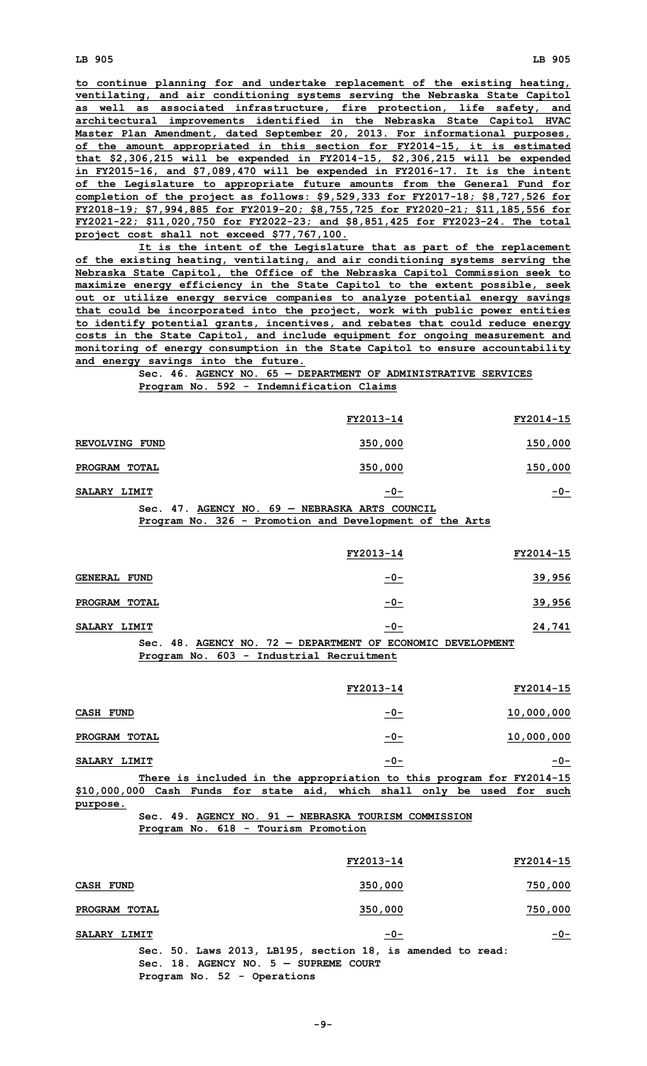**to continue planning for and undertake replacement of the existing heating, ventilating, and air conditioning systems serving the Nebraska State Capitol as well as associated infrastructure, fire protection, life safety, and architectural improvements identified in the Nebraska State Capitol HVAC Master Plan Amendment, dated September 20, 2013. For informational purposes, of the amount appropriated in this section for FY2014-15, it is estimated that \$2,306,215 will be expended in FY2014-15, \$2,306,215 will be expended in FY2015-16, and \$7,089,470 will be expended in FY2016-17. It is the intent of the Legislature to appropriate future amounts from the General Fund for completion of the project as follows: \$9,529,333 for FY2017-18; \$8,727,526 for FY2018-19; \$7,994,885 for FY2019-20; \$8,755,725 for FY2020-21; \$11,185,556 for FY2021-22; \$11,020,750 for FY2022-23; and \$8,851,425 for FY2023-24. The total project cost shall not exceed \$77,767,100.**

**It is the intent of the Legislature that as part of the replacement of the existing heating, ventilating, and air conditioning systems serving the Nebraska State Capitol, the Office of the Nebraska Capitol Commission seek to maximize energy efficiency in the State Capitol to the extent possible, seek out or utilize energy service companies to analyze potential energy savings that could be incorporated into the project, work with public power entities to identify potential grants, incentives, and rebates that could reduce energy costs in the State Capitol, and include equipment for ongoing measurement and monitoring of energy consumption in the State Capitol to ensure accountability and energy savings into the future.**

## **Sec. 46. AGENCY NO. 65 — DEPARTMENT OF ADMINISTRATIVE SERVICES Program No. 592 - Indemnification Claims**

|                | FY2013-14                                          | FY2014-15 |
|----------------|----------------------------------------------------|-----------|
| REVOLVING FUND | 350,000                                            | 150,000   |
| PROGRAM TOTAL  | 350,000                                            | 150,000   |
| SALARY LIMIT   | $-0-$                                              | $-0-$     |
|                | Sec. $47.$ AGENCY NO. $69 -$ NEBRASKA ARTS COUNCIL |           |

**Program No. 326 - Promotion and Development of the Arts**

|                |                 |     |           | FY2013-14                               | FY2014-15 |
|----------------|-----------------|-----|-----------|-----------------------------------------|-----------|
| <b>GENERAL</b> | <b>FUND</b>     |     |           | $-0-$                                   | 39,956    |
| <b>PROGRAM</b> | <b>TOTAL</b>    |     |           | $-0-$                                   | 39,956    |
| SALARY LIMIT   |                 |     |           | $-0-$                                   | 24,741    |
|                | S <sub>on</sub> | 48. | ACENCY NO | 72 - DEPARTMENT OF ECONOMIC DEVELOPMENT |           |

### **Sec. 48. AGENCY NO. 72 — DEPARTMENT OF ECONOMIC DEVELOPMENT Program No. 603 - Industrial Recruitment**

|                                                                          | FY2013-14 | FY2014-15  |
|--------------------------------------------------------------------------|-----------|------------|
| CASH<br><b>FUND</b>                                                      | $-0-$     | 10,000,000 |
| PROGRAM<br><b>TOTAL</b>                                                  | $-0-$     | 10,000,000 |
| SALARY LIMIT                                                             | $-0-$     | $-0-$      |
| There is included in the appropriation to this program for FY2014-15     |           |            |
| \$10,000,000 Cash Funds for state aid, which shall only be used for such |           |            |
| purpose.                                                                 |           |            |

## **Sec. 49. AGENCY NO. 91 — NEBRASKA TOURISM COMMISSION Program No. 618 - Tourism Promotion**

|               | FY2013-14                                                                                             | FY2014-15 |
|---------------|-------------------------------------------------------------------------------------------------------|-----------|
| CASH FUND     | 350,000                                                                                               | 750,000   |
| PROGRAM TOTAL | 350,000                                                                                               | 750,000   |
| SALARY LIMIT  | $-0-$                                                                                                 | $-0-$     |
|               | Sec. 50. Laws 2013, LB195, section 18, is amended to read:<br>Sec. 18. AGENCY NO. $5 -$ SUPREME COURT |           |

**Program No. 52 - Operations**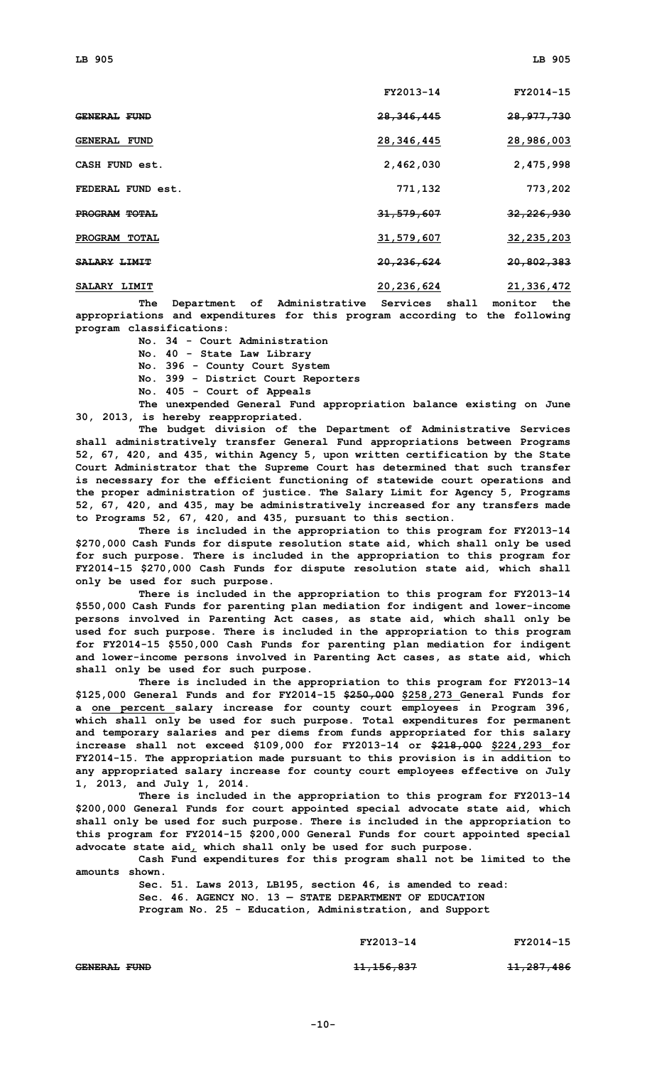|                      | FY2013-14    | FY2014-15             |
|----------------------|--------------|-----------------------|
| <b>GENERAL FUND</b>  | 28,346,445   | 28, 977, 730          |
| <b>GENERAL FUND</b>  | 28, 346, 445 | 28,986,003            |
| CASH FUND est.       | 2,462,030    | 2,475,998             |
| FEDERAL FUND est.    | 771,132      | 773,202               |
| <b>PROGRAM TOTAL</b> | 31,579,607   | <del>32,226,930</del> |
| PROGRAM TOTAL        | 31,579,607   | 32, 235, 203          |
| <b>SALARY LIMIT</b>  | 20,236,624   | 20,802,383            |
| SALARY LIMIT         | 20,236,624   | 21,336,472            |

**The Department of Administrative Services shall monitor the appropriations and expenditures for this program according to the following program classifications:**

**No. 34 - Court Administration**

**No. 40 - State Law Library No. 396 - County Court System**

**No. 399 - District Court Reporters**

**No. 405 - Court of Appeals**

**The unexpended General Fund appropriation balance existing on June 30, 2013, is hereby reappropriated.**

**The budget division of the Department of Administrative Services shall administratively transfer General Fund appropriations between Programs 52, 67, 420, and 435, within Agency 5, upon written certification by the State Court Administrator that the Supreme Court has determined that such transfer is necessary for the efficient functioning of statewide court operations and the proper administration of justice. The Salary Limit for Agency 5, Programs 52, 67, 420, and 435, may be administratively increased for any transfers made to Programs 52, 67, 420, and 435, pursuant to this section.**

**There is included in the appropriation to this program for FY2013-14 \$270,000 Cash Funds for dispute resolution state aid, which shall only be used for such purpose. There is included in the appropriation to this program for FY2014-15 \$270,000 Cash Funds for dispute resolution state aid, which shall only be used for such purpose.**

**There is included in the appropriation to this program for FY2013-14 \$550,000 Cash Funds for parenting plan mediation for indigent and lower-income persons involved in Parenting Act cases, as state aid, which shall only be used for such purpose. There is included in the appropriation to this program for FY2014-15 \$550,000 Cash Funds for parenting plan mediation for indigent and lower-income persons involved in Parenting Act cases, as state aid, which shall only be used for such purpose.**

**There is included in the appropriation to this program for FY2013-14 \$125,000 General Funds and for FY2014-15 \$250,000 \$258,273 General Funds for <sup>a</sup> one percent salary increase for county court employees in Program 396, which shall only be used for such purpose. Total expenditures for permanent and temporary salaries and per diems from funds appropriated for this salary increase shall not exceed \$109,000 for FY2013-14 or \$218,000 \$224,293 for FY2014-15. The appropriation made pursuant to this provision is in addition to any appropriated salary increase for county court employees effective on July 1, 2013, and July 1, 2014.**

**There is included in the appropriation to this program for FY2013-14 \$200,000 General Funds for court appointed special advocate state aid, which shall only be used for such purpose. There is included in the appropriation to this program for FY2014-15 \$200,000 General Funds for court appointed special advocate state aid, which shall only be used for such purpose.**

**Cash Fund expenditures for this program shall not be limited to the amounts shown.**

**Sec. 51. Laws 2013, LB195, section 46, is amended to read: Sec. 46. AGENCY NO. 13 — STATE DEPARTMENT OF EDUCATION Program No. 25 - Education, Administration, and Support**

**FY2013-14 FY2014-15**

**GENERAL FUND 11,156,837 11,287,486**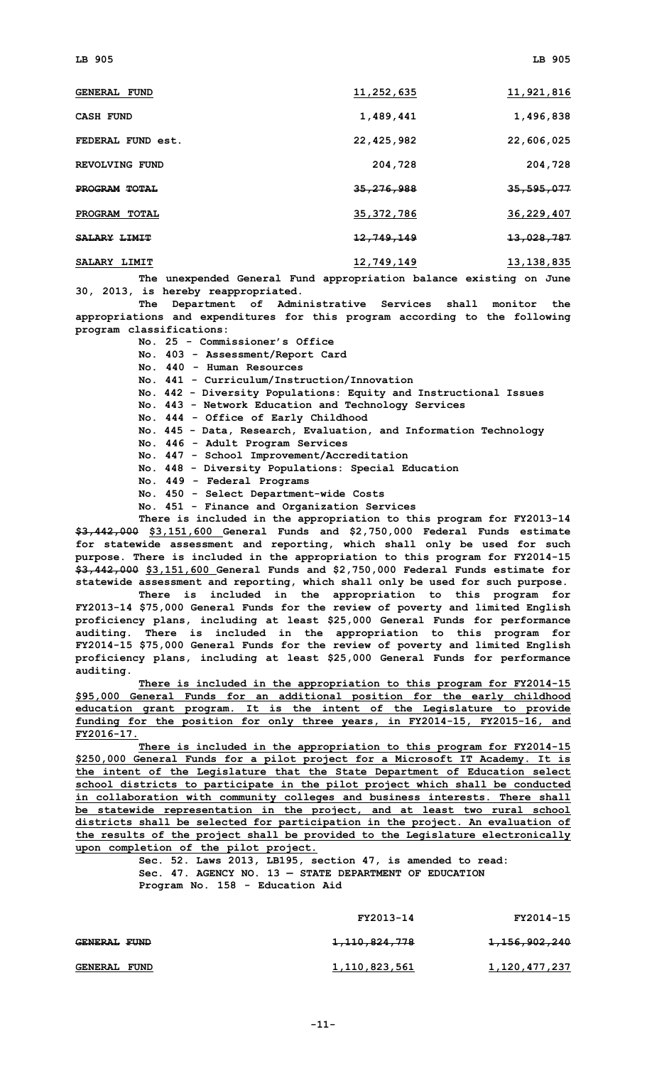| <b>GENERAL FUND</b>     | 11,252,635            | 11,921,816   |
|-------------------------|-----------------------|--------------|
| CASH FUND               | 1,489,441             | 1,496,838    |
| FEDERAL FUND est.       | 22,425,982            | 22,606,025   |
| REVOLVING FUND          | 204,728               | 204,728      |
| PROGRAM TOTAL           | 35, 276, 988          | 35,595,077   |
| PROGRAM<br><b>TOTAL</b> | 35, 372, 786          | 36,229,407   |
| <b>SALARY LIMIT</b>     | <del>12,749,149</del> | 13,028,787   |
| SALARY LIMIT            | 12,749,149            | 13, 138, 835 |

**The unexpended General Fund appropriation balance existing on June 30, 2013, is hereby reappropriated.**

**The Department of Administrative Services shall monitor the appropriations and expenditures for this program according to the following program classifications:**

**No. 25 - Commissioner's Office**

**No. 403 - Assessment/Report Card**

**No. 440 - Human Resources**

**No. 441 - Curriculum/Instruction/Innovation**

**No. 442 - Diversity Populations: Equity and Instructional Issues**

**No. 443 - Network Education and Technology Services**

**No. 444 - Office of Early Childhood**

**No. 445 - Data, Research, Evaluation, and Information Technology**

**No. 446 - Adult Program Services**

**No. <sup>447</sup> - School Improvement/Accreditation**

**No. 448 - Diversity Populations: Special Education**

**No. 449 - Federal Programs**

**No. 450 - Select Department-wide Costs**

**No. 451 - Finance and Organization Services**

**There is included in the appropriation to this program for FY2013-14 \$3,442,000 \$3,151,600 General Funds and \$2,750,000 Federal Funds estimate for statewide assessment and reporting, which shall only be used for such purpose. There is included in the appropriation to this program for FY2014-15 \$3,442,000 \$3,151,600 General Funds and \$2,750,000 Federal Funds estimate for statewide assessment and reporting, which shall only be used for such purpose.**

**There is included in the appropriation to this program for FY2013-14 \$75,000 General Funds for the review of poverty and limited English proficiency plans, including at least \$25,000 General Funds for performance auditing. There is included in the appropriation to this program for FY2014-15 \$75,000 General Funds for the review of poverty and limited English proficiency plans, including at least \$25,000 General Funds for performance auditing.**

**There is included in the appropriation to this program for FY2014-15 \$95,000 General Funds for an additional position for the early childhood education grant program. It is the intent of the Legislature to provide funding for the position for only three years, in FY2014-15, FY2015-16, and FY2016-17.**

**There is included in the appropriation to this program for FY2014-15 \$250,000 General Funds for <sup>a</sup> pilot project for <sup>a</sup> Microsoft IT Academy. It is the intent of the Legislature that the State Department of Education select school districts to participate in the pilot project which shall be conducted in collaboration with community colleges and business interests. There shall be statewide representation in the project, and at least two rural school districts shall be selected for participation in the project. An evaluation of the results of the project shall be provided to the Legislature electronically upon completion of the pilot project.**

> **Sec. 52. Laws 2013, LB195, section 47, is amended to read: Sec. 47. AGENCY NO. 13 — STATE DEPARTMENT OF EDUCATION Program No. 158 - Education Aid**

|                     | FY2013-14                | FY2014-15                |
|---------------------|--------------------------|--------------------------|
| <b>GENERAL FUND</b> | <del>1,110,824,778</del> | <del>1,156,902,240</del> |
| <b>GENERAL FUND</b> | 1,110,823,561            | 1,120,477,237            |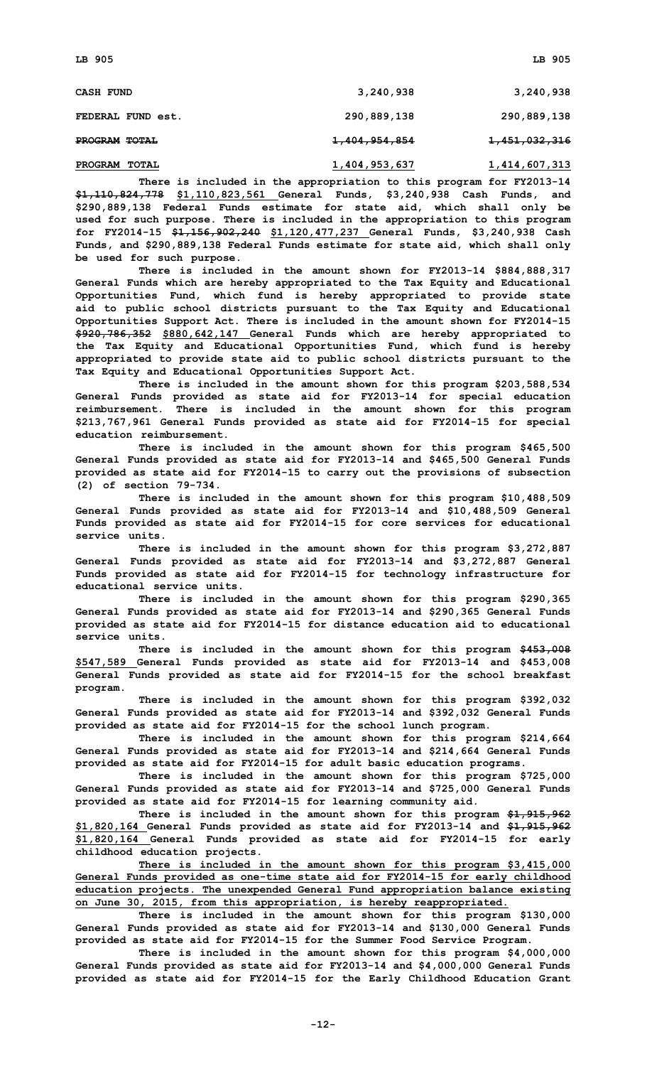| <b>CASH FUND</b>        | 3,240,938                | 3,240,938                |
|-------------------------|--------------------------|--------------------------|
| FEDERAL FUND est.       | 290,889,138              | 290,889,138              |
| <b>PROGRAM TOTAL</b>    | <del>1,404,954,854</del> | <del>1,451,032,316</del> |
| PROGRAM<br><b>TOTAL</b> | 1,404,953,637            | 1,414,607,313            |

**There is included in the appropriation to this program for FY2013-14 \$1,110,824,778 \$1,110,823,561 General Funds, \$3,240,938 Cash Funds, and \$290,889,138 Federal Funds estimate for state aid, which shall only be used for such purpose. There is included in the appropriation to this program for FY2014-15 \$1,156,902,240 \$1,120,477,237 General Funds, \$3,240,938 Cash Funds, and \$290,889,138 Federal Funds estimate for state aid, which shall only be used for such purpose.**

**There is included in the amount shown for FY2013-14 \$884,888,317 General Funds which are hereby appropriated to the Tax Equity and Educational Opportunities Fund, which fund is hereby appropriated to provide state aid to public school districts pursuant to the Tax Equity and Educational Opportunities Support Act. There is included in the amount shown for FY2014-15 \$920,786,352 \$880,642,147 General Funds which are hereby appropriated to the Tax Equity and Educational Opportunities Fund, which fund is hereby appropriated to provide state aid to public school districts pursuant to the Tax Equity and Educational Opportunities Support Act.**

**There is included in the amount shown for this program \$203,588,534 General Funds provided as state aid for FY2013-14 for special education reimbursement. There is included in the amount shown for this program \$213,767,961 General Funds provided as state aid for FY2014-15 for special education reimbursement.**

**There is included in the amount shown for this program \$465,500 General Funds provided as state aid for FY2013-14 and \$465,500 General Funds provided as state aid for FY2014-15 to carry out the provisions of subsection (2) of section 79-734.**

**There is included in the amount shown for this program \$10,488,509 General Funds provided as state aid for FY2013-14 and \$10,488,509 General Funds provided as state aid for FY2014-15 for core services for educational service units.**

**There is included in the amount shown for this program \$3,272,887 General Funds provided as state aid for FY2013-14 and \$3,272,887 General Funds provided as state aid for FY2014-15 for technology infrastructure for educational service units.**

**There is included in the amount shown for this program \$290,365 General Funds provided as state aid for FY2013-14 and \$290,365 General Funds provided as state aid for FY2014-15 for distance education aid to educational service units.**

**There is included in the amount shown for this program \$453,008 \$547,589 General Funds provided as state aid for FY2013-14 and \$453,008 General Funds provided as state aid for FY2014-15 for the school breakfast program.**

**There is included in the amount shown for this program \$392,032 General Funds provided as state aid for FY2013-14 and \$392,032 General Funds provided as state aid for FY2014-15 for the school lunch program.**

**There is included in the amount shown for this program \$214,664 General Funds provided as state aid for FY2013-14 and \$214,664 General Funds provided as state aid for FY2014-15 for adult basic education programs.**

**There is included in the amount shown for this program \$725,000 General Funds provided as state aid for FY2013-14 and \$725,000 General Funds provided as state aid for FY2014-15 for learning community aid.**

**There is included in the amount shown for this program \$1,915,962 \$1,820,164 General Funds provided as state aid for FY2013-14 and \$1,915,962 \$1,820,164 General Funds provided as state aid for FY2014-15 for early childhood education projects.**

**There is included in the amount shown for this program \$3,415,000 General Funds provided as one-time state aid for FY2014-15 for early childhood education projects. The unexpended General Fund appropriation balance existing on June 30, 2015, from this appropriation, is hereby reappropriated.**

**There is included in the amount shown for this program \$130,000 General Funds provided as state aid for FY2013-14 and \$130,000 General Funds provided as state aid for FY2014-15 for the Summer Food Service Program.**

**There is included in the amount shown for this program \$4,000,000 General Funds provided as state aid for FY2013-14 and \$4,000,000 General Funds provided as state aid for FY2014-15 for the Early Childhood Education Grant**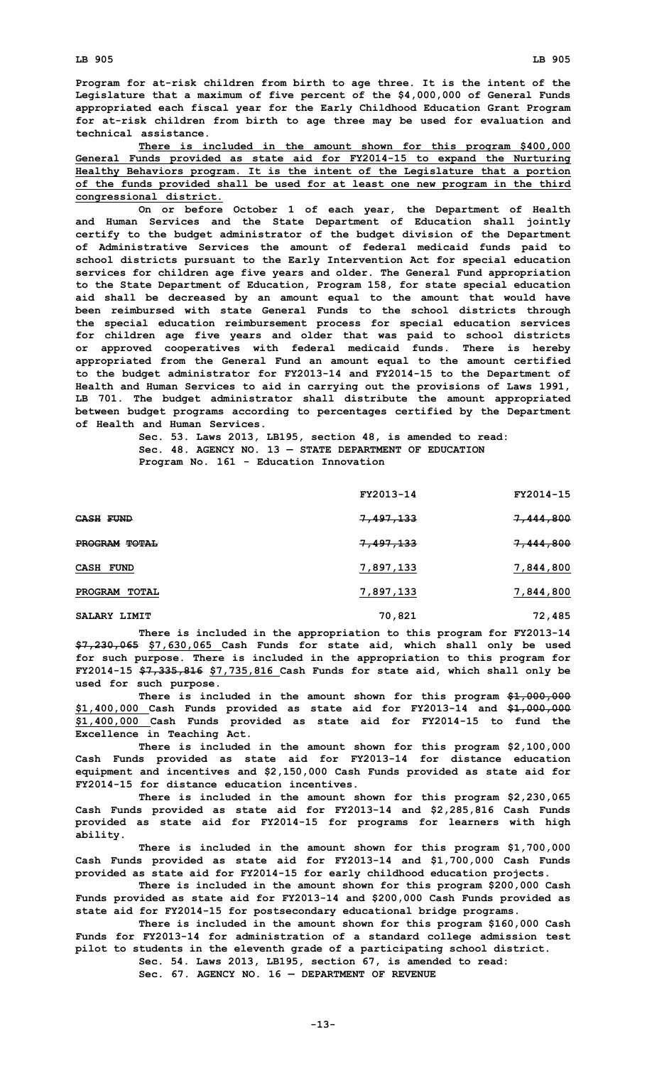**Program for at-risk children from birth to age three. It is the intent of the Legislature that <sup>a</sup> maximum of five percent of the \$4,000,000 of General Funds appropriated each fiscal year for the Early Childhood Education Grant Program for at-risk children from birth to age three may be used for evaluation and technical assistance.**

**There is included in the amount shown for this program \$400,000 General Funds provided as state aid for FY2014-15 to expand the Nurturing Healthy Behaviors program. It is the intent of the Legislature that <sup>a</sup> portion of the funds provided shall be used for at least one new program in the third congressional district.**

**On or before October 1 of each year, the Department of Health and Human Services and the State Department of Education shall jointly certify to the budget administrator of the budget division of the Department of Administrative Services the amount of federal medicaid funds paid to school districts pursuant to the Early Intervention Act for special education services for children age five years and older. The General Fund appropriation to the State Department of Education, Program 158, for state special education aid shall be decreased by an amount equal to the amount that would have been reimbursed with state General Funds to the school districts through the special education reimbursement process for special education services for children age five years and older that was paid to school districts or approved cooperatives with federal medicaid funds. There is hereby appropriated from the General Fund an amount equal to the amount certified to the budget administrator for FY2013-14 and FY2014-15 to the Department of Health and Human Services to aid in carrying out the provisions of Laws 1991, LB 701. The budget administrator shall distribute the amount appropriated between budget programs according to percentages certified by the Department of Health and Human Services.**

**Sec. 53. Laws 2013, LB195, section 48, is amended to read: Sec. 48. AGENCY NO. 13 — STATE DEPARTMENT OF EDUCATION Program No. 161 - Education Innovation**

|                  | FY2013-14            | FY2014-15            |
|------------------|----------------------|----------------------|
| <b>CASH FUND</b> | 7,497,133            | 7,444,800            |
| PROGRAM TOTAL    | <del>7,497,133</del> | <del>7,444,800</del> |
| <b>CASH FUND</b> | 7,897,133            | 7,844,800            |
| PROGRAM TOTAL    | 7,897,133            | 7,844,800            |
| SALARY LIMIT     | 70,821               | 72,485               |

**There is included in the appropriation to this program for FY2013-14 \$7,230,065 \$7,630,065 Cash Funds for state aid, which shall only be used for such purpose. There is included in the appropriation to this program for FY2014-15 \$7,335,816 \$7,735,816 Cash Funds for state aid, which shall only be used for such purpose.**

**There is included in the amount shown for this program \$1,000,000 \$1,400,000 Cash Funds provided as state aid for FY2013-14 and \$1,000,000 \$1,400,000 Cash Funds provided as state aid for FY2014-15 to fund the Excellence in Teaching Act.**

**There is included in the amount shown for this program \$2,100,000 Cash Funds provided as state aid for FY2013-14 for distance education equipment and incentives and \$2,150,000 Cash Funds provided as state aid for FY2014-15 for distance education incentives.**

**There is included in the amount shown for this program \$2,230,065 Cash Funds provided as state aid for FY2013-14 and \$2,285,816 Cash Funds provided as state aid for FY2014-15 for programs for learners with high ability.**

**There is included in the amount shown for this program \$1,700,000 Cash Funds provided as state aid for FY2013-14 and \$1,700,000 Cash Funds provided as state aid for FY2014-15 for early childhood education projects.**

**There is included in the amount shown for this program \$200,000 Cash Funds provided as state aid for FY2013-14 and \$200,000 Cash Funds provided as state aid for FY2014-15 for postsecondary educational bridge programs.**

**There is included in the amount shown for this program \$160,000 Cash Funds for FY2013-14 for administration of <sup>a</sup> standard college admission test pilot to students in the eleventh grade of <sup>a</sup> participating school district. Sec. 54. Laws 2013, LB195, section 67, is amended to read:**

**Sec. 67. AGENCY NO. 16 — DEPARTMENT OF REVENUE**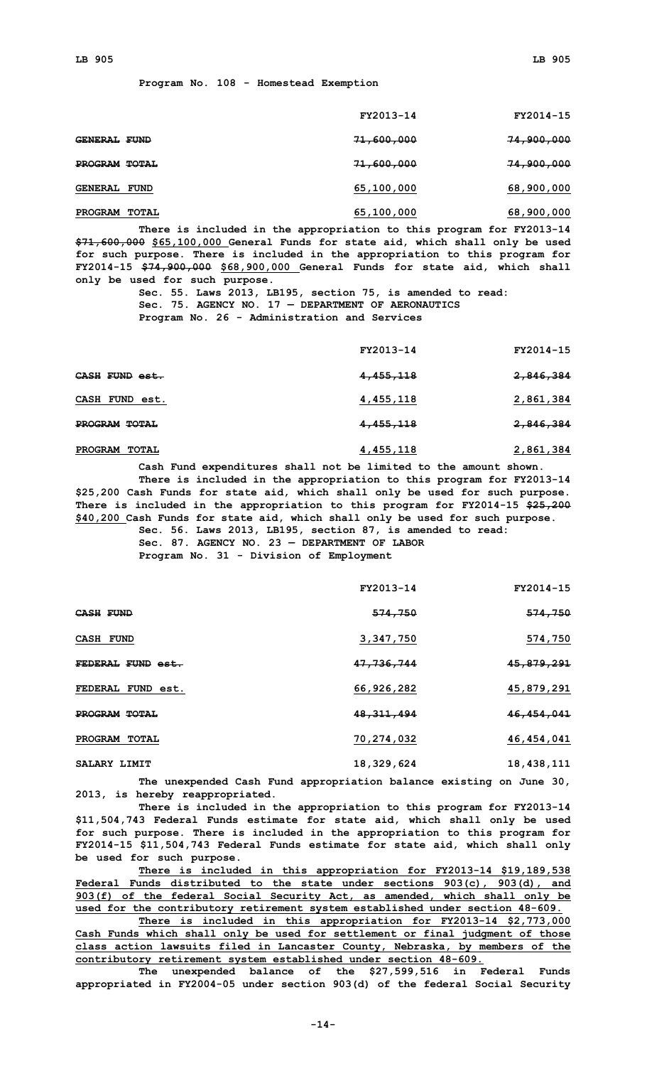|                         | FY2013-14  | FY2014-15             |
|-------------------------|------------|-----------------------|
| <b>GENERAL FUND</b>     | 71,600,000 | <del>74,900,000</del> |
| PROGRAM TOTAL           | 71,600,000 | 74,900,000            |
| <b>GENERAL FUND</b>     | 65,100,000 | 68,900,000            |
| <b>PROGRAM</b><br>TOTAL | 65,100,000 | 68,900,000            |

**There is included in the appropriation to this program for FY2013-14 \$71,600,000 \$65,100,000 General Funds for state aid, which shall only be used for such purpose. There is included in the appropriation to this program for FY2014-15 \$74,900,000 \$68,900,000 General Funds for state aid, which shall only be used for such purpose.**

> **Sec. 55. Laws 2013, LB195, section 75, is amended to read: Sec. 75. AGENCY NO. 17 — DEPARTMENT OF AERONAUTICS Program No. 26 - Administration and Services**

|                         | FY2013-14 | FY2014-15            |
|-------------------------|-----------|----------------------|
| CASH FUND est.          | 4,455,118 | <del>2,846,384</del> |
| CASH FUND est.          | 4,455,118 | 2,861,384            |
| PROGRAM TOTAL           | 4,455,118 | <del>2,846,384</del> |
| PROGRAM<br><b>TOTAL</b> | 4,455,118 | 2,861,384            |

**Cash Fund expenditures shall not be limited to the amount shown. There is included in the appropriation to this program for FY2013-14 \$25,200 Cash Funds for state aid, which shall only be used for such purpose. There is included in the appropriation to this program for FY2014-15 \$25,200 \$40,200 Cash Funds for state aid, which shall only be used for such purpose. Sec. 56. Laws 2013, LB195, section 87, is amended to read:**

**Sec. 87. AGENCY NO. 23 — DEPARTMENT OF LABOR**

**Program No. 31 - Division of Employment**

|                         | FY2013-14    | FY2014-15  |
|-------------------------|--------------|------------|
| <b>CASH FUND</b>        | 574,750      | 574,750    |
| CASH FUND               | 3,347,750    | 574,750    |
| FEDERAL FUND est.       | 47,736,744   | 45,879,291 |
| FEDERAL FUND est.       | 66,926,282   | 45,879,291 |
| <b>PROGRAM TOTAL</b>    | 48, 311, 494 | 46,454,041 |
| PROGRAM<br><b>TOTAL</b> | 70,274,032   | 46,454,041 |
| SALARY LIMIT            | 18,329,624   | 18,438,111 |

**The unexpended Cash Fund appropriation balance existing on June 30, 2013, is hereby reappropriated.**

**There is included in the appropriation to this program for FY2013-14 \$11,504,743 Federal Funds estimate for state aid, which shall only be used for such purpose. There is included in the appropriation to this program for FY2014-15 \$11,504,743 Federal Funds estimate for state aid, which shall only be used for such purpose.**

**There is included in this appropriation for FY2013-14 \$19,189,538 Federal Funds distributed to the state under sections 903(c), 903(d), and 903(f) of the federal Social Security Act, as amended, which shall only be used for the contributory retirement system established under section 48-609.**

**There is included in this appropriation for FY2013-14 \$2,773,000 Cash Funds which shall only be used for settlement or final judgment of those class action lawsuits filed in Lancaster County, Nebraska, by members of the contributory retirement system established under section 48-609.**

**The unexpended balance of the \$27,599,516 in Federal Funds appropriated in FY2004-05 under section 903(d) of the federal Social Security**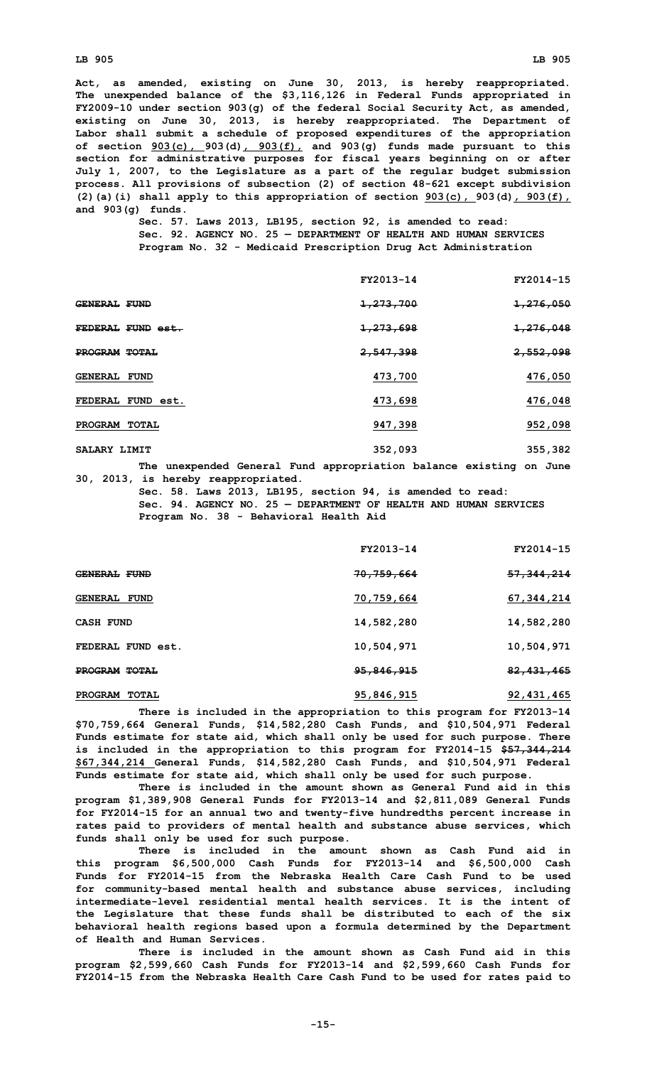#### **LB 905 LB 905**

**Act, as amended, existing on June 30, 2013, is hereby reappropriated. The unexpended balance of the \$3,116,126 in Federal Funds appropriated in FY2009-10 under section 903(g) of the federal Social Security Act, as amended, existing on June 30, 2013, is hereby reappropriated. The Department of Labor shall submit <sup>a</sup> schedule of proposed expenditures of the appropriation of section 903(c), 903(d), 903(f), and 903(g) funds made pursuant to this section for administrative purposes for fiscal years beginning on or after July 1, 2007, to the Legislature as <sup>a</sup> part of the regular budget submission process. All provisions of subsection (2) of section 48-621 except subdivision (2)(a)(i) shall apply to this appropriation of section 903(c), 903(d), 903(f), and 903(g) funds.**

**Sec. 57. Laws 2013, LB195, section 92, is amended to read: Sec. 92. AGENCY NO. 25 — DEPARTMENT OF HEALTH AND HUMAN SERVICES Program No. 32 - Medicaid Prescription Drug Act Administration**

|                             | FY2013-14              | FY2014-15            |
|-----------------------------|------------------------|----------------------|
| <b>GENERAL FUND</b>         | <del>1,273,700</del>   | <del>1,276,050</del> |
| FEDERAL FUND est.           | <del>1, 273, 698</del> | <del>1,276,048</del> |
| PROGRAM TOTAL               | 2,547,398              | <del>2,552,098</del> |
| <b>GENERAL FUND</b>         | 473,700                | 476,050              |
| FUND est.<br><b>FEDERAL</b> | 473,698                | 476,048              |
| PROGRAM<br><b>TOTAL</b>     | 947,398                | 952,098              |
| SALARY LIMIT                | 352,093                | 355,382              |

**The unexpended General Fund appropriation balance existing on June 30, 2013, is hereby reappropriated.**

> **Sec. 58. Laws 2013, LB195, section 94, is amended to read: Sec. 94. AGENCY NO. 25 — DEPARTMENT OF HEALTH AND HUMAN SERVICES Program No. 38 - Behavioral Health Aid**

|                     | FY2013-14  | FY2014-15    |
|---------------------|------------|--------------|
| GENERAL FUND        | 70,759,664 | 57, 344, 214 |
| <b>GENERAL FUND</b> | 70,759,664 | 67, 344, 214 |
| <b>CASH FUND</b>    | 14,582,280 | 14,582,280   |
| FEDERAL FUND est.   | 10,504,971 | 10,504,971   |
| PROGRAM TOTAL       | 95,846,915 | 82, 431, 465 |
| PROGRAM TOTAL       | 95,846,915 | 92, 431, 465 |

**There is included in the appropriation to this program for FY2013-14 \$70,759,664 General Funds, \$14,582,280 Cash Funds, and \$10,504,971 Federal Funds estimate for state aid, which shall only be used for such purpose. There is included in the appropriation to this program for FY2014-15 \$57,344,214 \$67,344,214 General Funds, \$14,582,280 Cash Funds, and \$10,504,971 Federal Funds estimate for state aid, which shall only be used for such purpose.**

**There is included in the amount shown as General Fund aid in this program \$1,389,908 General Funds for FY2013-14 and \$2,811,089 General Funds for FY2014-15 for an annual two and twenty-five hundredths percent increase in rates paid to providers of mental health and substance abuse services, which funds shall only be used for such purpose.**

**There is included in the amount shown as Cash Fund aid in this program \$6,500,000 Cash Funds for FY2013-14 and \$6,500,000 Cash Funds for FY2014-15 from the Nebraska Health Care Cash Fund to be used for community-based mental health and substance abuse services, including intermediate-level residential mental health services. It is the intent of the Legislature that these funds shall be distributed to each of the six behavioral health regions based upon <sup>a</sup> formula determined by the Department of Health and Human Services.**

**There is included in the amount shown as Cash Fund aid in this program \$2,599,660 Cash Funds for FY2013-14 and \$2,599,660 Cash Funds for FY2014-15 from the Nebraska Health Care Cash Fund to be used for rates paid to**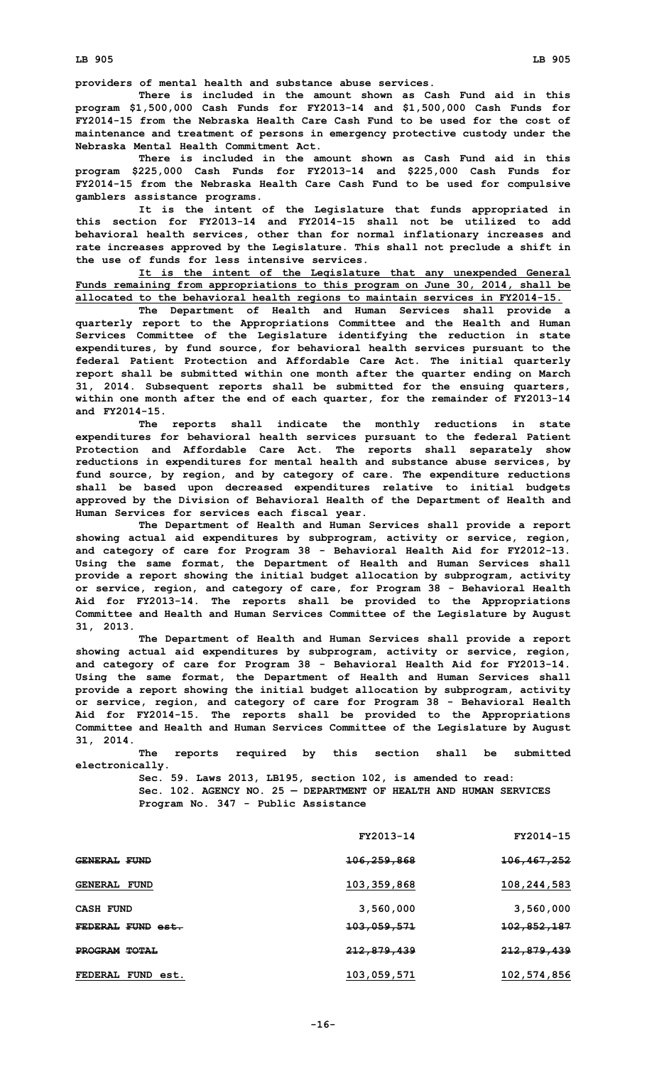**providers of mental health and substance abuse services.**

**There is included in the amount shown as Cash Fund aid in this program \$1,500,000 Cash Funds for FY2013-14 and \$1,500,000 Cash Funds for FY2014-15 from the Nebraska Health Care Cash Fund to be used for the cost of maintenance and treatment of persons in emergency protective custody under the Nebraska Mental Health Commitment Act.**

**There is included in the amount shown as Cash Fund aid in this program \$225,000 Cash Funds for FY2013-14 and \$225,000 Cash Funds for FY2014-15 from the Nebraska Health Care Cash Fund to be used for compulsive gamblers assistance programs.**

**It is the intent of the Legislature that funds appropriated in this section for FY2013-14 and FY2014-15 shall not be utilized to add behavioral health services, other than for normal inflationary increases and rate increases approved by the Legislature. This shall not preclude <sup>a</sup> shift in the use of funds for less intensive services.**

**It is the intent of the Legislature that any unexpended General Funds remaining from appropriations to this program on June 30, 2014, shall be allocated to the behavioral health regions to maintain services in FY2014-15.**

**The Department of Health and Human Services shall provide <sup>a</sup> quarterly report to the Appropriations Committee and the Health and Human Services Committee of the Legislature identifying the reduction in state expenditures, by fund source, for behavioral health services pursuant to the federal Patient Protection and Affordable Care Act. The initial quarterly report shall be submitted within one month after the quarter ending on March 31, 2014. Subsequent reports shall be submitted for the ensuing quarters, within one month after the end of each quarter, for the remainder of FY2013-14 and FY2014-15.**

**The reports shall indicate the monthly reductions in state expenditures for behavioral health services pursuant to the federal Patient Protection and Affordable Care Act. The reports shall separately show reductions in expenditures for mental health and substance abuse services, by fund source, by region, and by category of care. The expenditure reductions shall be based upon decreased expenditures relative to initial budgets approved by the Division of Behavioral Health of the Department of Health and Human Services for services each fiscal year.**

**The Department of Health and Human Services shall provide <sup>a</sup> report showing actual aid expenditures by subprogram, activity or service, region, and category of care for Program 38 - Behavioral Health Aid for FY2012-13. Using the same format, the Department of Health and Human Services shall provide <sup>a</sup> report showing the initial budget allocation by subprogram, activity or service, region, and category of care, for Program 38 - Behavioral Health Aid for FY2013-14. The reports shall be provided to the Appropriations Committee and Health and Human Services Committee of the Legislature by August 31, 2013.**

**The Department of Health and Human Services shall provide <sup>a</sup> report showing actual aid expenditures by subprogram, activity or service, region, and category of care for Program 38 - Behavioral Health Aid for FY2013-14. Using the same format, the Department of Health and Human Services shall provide <sup>a</sup> report showing the initial budget allocation by subprogram, activity or service, region, and category of care for Program 38 - Behavioral Health Aid for FY2014-15. The reports shall be provided to the Appropriations Committee and Health and Human Services Committee of the Legislature by August 31, 2014.**

**The reports required by this section shall be submitted electronically.**

> **Sec. 59. Laws 2013, LB195, section 102, is amended to read: Sec. 102. AGENCY NO. 25 — DEPARTMENT OF HEALTH AND HUMAN SERVICES Program No. 347 - Public Assistance**

|                     | FY2013-14              | FY2014-15              |
|---------------------|------------------------|------------------------|
| <b>GENERAL FUND</b> | <del>106,259,868</del> | <del>106,467,252</del> |
| <b>GENERAL FUND</b> | 103,359,868            | 108,244,583            |
| <b>CASH FUND</b>    | 3,560,000              | 3,560,000              |
| FEDERAL FUND est.   | <del>103,059,571</del> | <del>102,852,187</del> |
| PROGRAM TOTAL       | <del>212,879,439</del> | <del>212,879,439</del> |
| FEDERAL FUND est.   | 103,059,571            | 102,574,856            |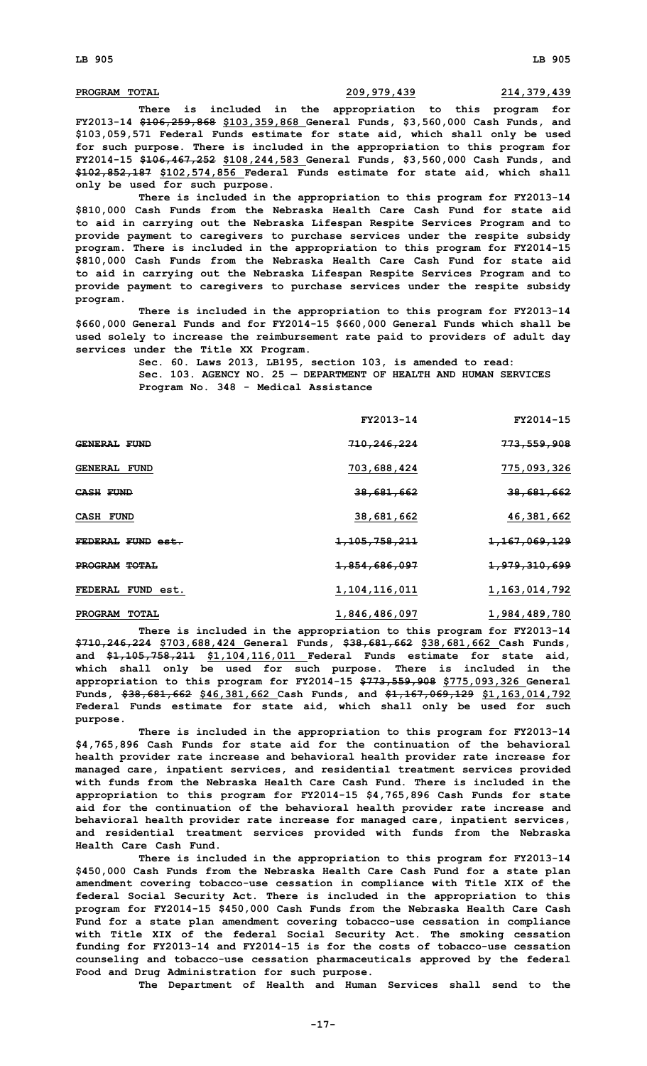## **PROGRAM TOTAL 209,979,439 214,379,439**

**There is included in the appropriation to this program for FY2013-14 \$106,259,868 \$103,359,868 General Funds, \$3,560,000 Cash Funds, and \$103,059,571 Federal Funds estimate for state aid, which shall only be used for such purpose. There is included in the appropriation to this program for FY2014-15 \$106,467,252 \$108,244,583 General Funds, \$3,560,000 Cash Funds, and \$102,852,187 \$102,574,856 Federal Funds estimate for state aid, which shall only be used for such purpose.**

**There is included in the appropriation to this program for FY2013-14 \$810,000 Cash Funds from the Nebraska Health Care Cash Fund for state aid to aid in carrying out the Nebraska Lifespan Respite Services Program and to provide payment to caregivers to purchase services under the respite subsidy program. There is included in the appropriation to this program for FY2014-15 \$810,000 Cash Funds from the Nebraska Health Care Cash Fund for state aid to aid in carrying out the Nebraska Lifespan Respite Services Program and to provide payment to caregivers to purchase services under the respite subsidy program.**

**There is included in the appropriation to this program for FY2013-14 \$660,000 General Funds and for FY2014-15 \$660,000 General Funds which shall be used solely to increase the reimbursement rate paid to providers of adult day services under the Title XX Program.**

> **Sec. 60. Laws 2013, LB195, section 103, is amended to read: Sec. 103. AGENCY NO. 25 — DEPARTMENT OF HEALTH AND HUMAN SERVICES Program No. 348 - Medical Assistance**

| FY2013-14                | FY2014-15                |
|--------------------------|--------------------------|
| <del>710,246,224</del>   | <del>773,559,908</del>   |
| 703,688,424              | 775,093,326              |
| <del>38,681,662</del>    | <del>38,681,662</del>    |
| 38,681,662               | 46, 381, 662             |
| <del>1,105,758,211</del> | <del>1,167,069,129</del> |
| <del>1,854,686,097</del> | <del>1,979,310,699</del> |
| 1,104,116,011            | 1, 163, 014, 792         |
|                          |                          |

**There is included in the appropriation to this program for FY2013-14 \$710,246,224 \$703,688,424 General Funds, \$38,681,662 \$38,681,662 Cash Funds, and \$1,105,758,211 \$1,104,116,011 Federal Funds estimate for state aid, which shall only be used for such purpose. There is included in the appropriation to this program for FY2014-15 \$773,559,908 \$775,093,326 General Funds, \$38,681,662 \$46,381,662 Cash Funds, and \$1,167,069,129 \$1,163,014,792 Federal Funds estimate for state aid, which shall only be used for such purpose.**

**PROGRAM TOTAL 1,846,486,097 1,984,489,780**

**There is included in the appropriation to this program for FY2013-14 \$4,765,896 Cash Funds for state aid for the continuation of the behavioral health provider rate increase and behavioral health provider rate increase for managed care, inpatient services, and residential treatment services provided with funds from the Nebraska Health Care Cash Fund. There is included in the appropriation to this program for FY2014-15 \$4,765,896 Cash Funds for state aid for the continuation of the behavioral health provider rate increase and behavioral health provider rate increase for managed care, inpatient services, and residential treatment services provided with funds from the Nebraska Health Care Cash Fund.**

**There is included in the appropriation to this program for FY2013-14 \$450,000 Cash Funds from the Nebraska Health Care Cash Fund for <sup>a</sup> state plan amendment covering tobacco-use cessation in compliance with Title XIX of the federal Social Security Act. There is included in the appropriation to this program for FY2014-15 \$450,000 Cash Funds from the Nebraska Health Care Cash Fund for <sup>a</sup> state plan amendment covering tobacco-use cessation in compliance with Title XIX of the federal Social Security Act. The smoking cessation funding for FY2013-14 and FY2014-15 is for the costs of tobacco-use cessation counseling and tobacco-use cessation pharmaceuticals approved by the federal Food and Drug Administration for such purpose.**

**The Department of Health and Human Services shall send to the**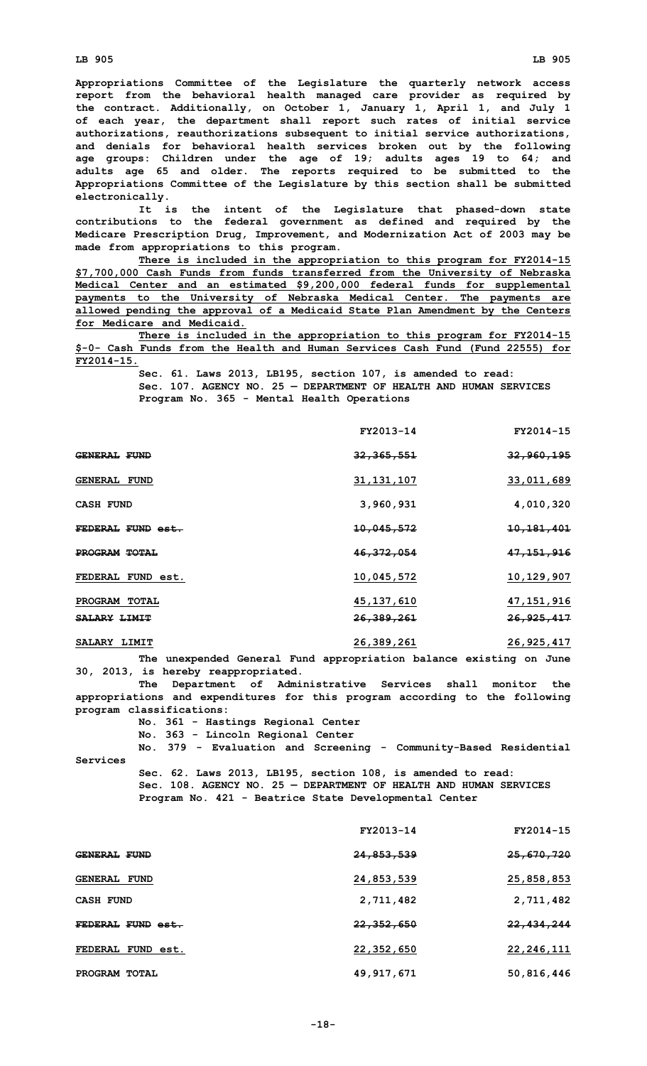**Appropriations Committee of the Legislature the quarterly network access report from the behavioral health managed care provider as required by the contract. Additionally, on October 1, January 1, April 1, and July 1 of each year, the department shall report such rates of initial service authorizations, reauthorizations subsequent to initial service authorizations, and denials for behavioral health services broken out by the following age groups: Children under the age of 19; adults ages 19 to 64; and adults age 65 and older. The reports required to be submitted to the Appropriations Committee of the Legislature by this section shall be submitted electronically.**

**It is the intent of the Legislature that phased-down state contributions to the federal government as defined and required by the Medicare Prescription Drug, Improvement, and Modernization Act of 2003 may be made from appropriations to this program.**

**There is included in the appropriation to this program for FY2014-15 \$7,700,000 Cash Funds from funds transferred from the University of Nebraska Medical Center and an estimated \$9,200,000 federal funds for supplemental payments to the University of Nebraska Medical Center. The payments are allowed pending the approval of <sup>a</sup> Medicaid State Plan Amendment by the Centers for Medicare and Medicaid.**

**There is included in the appropriation to this program for FY2014-15 \$-0- Cash Funds from the Health and Human Services Cash Fund (Fund 22555) for FY2014-15.**

**Sec. 61. Laws 2013, LB195, section 107, is amended to read: Sec. 107. AGENCY NO. 25 — DEPARTMENT OF HEALTH AND HUMAN SERVICES Program No. 365 - Mental Health Operations**

|                     | FY2013-14    | FY2014-15             |
|---------------------|--------------|-----------------------|
| <b>GENERAL FUND</b> | 32, 365, 551 | <del>32,960,195</del> |
| <b>GENERAL FUND</b> | 31, 131, 107 | 33,011,689            |
| <b>CASH FUND</b>    | 3,960,931    | 4,010,320             |
| FEDERAL FUND est.   | 10,045,572   | <u>10,181,401</u>     |
| PROGRAM TOTAL       | 46, 372, 054 | <del>47,151,916</del> |
| FEDERAL FUND est.   | 10,045,572   | 10,129,907            |
| PROGRAM TOTAL       | 45,137,610   | 47, 151, 916          |
| <b>SALARY LIMIT</b> | 26,389,261   | 26,925,417            |
| SALARY LIMIT        | 26,389,261   | 26,925,417            |

**The unexpended General Fund appropriation balance existing on June 30, 2013, is hereby reappropriated.**

**The Department of Administrative Services shall monitor the appropriations and expenditures for this program according to the following program classifications:**

**No. 361 - Hastings Regional Center**

**Services**

**No. 363 - Lincoln Regional Center**

**No. 379 - Evaluation and Screening - Community-Based Residential**

**Sec. 62. Laws 2013, LB195, section 108, is amended to read: Sec. 108. AGENCY NO. 25 — DEPARTMENT OF HEALTH AND HUMAN SERVICES Program No. 421 - Beatrice State Developmental Center**

|                     | FY2013-14             | FY2014-15             |
|---------------------|-----------------------|-----------------------|
| <b>GENERAL FUND</b> | <del>24,853,539</del> | <del>25,670,720</del> |
| GENERAL FUND        | 24,853,539            | 25,858,853            |
| CASH FUND           | 2,711,482             | 2,711,482             |
| FEDERAL FUND est.   | <del>22,352,650</del> | <del>22,434,244</del> |
| FEDERAL FUND est.   | 22,352,650            | 22, 246, 111          |
| PROGRAM TOTAL       | 49,917,671            | 50,816,446            |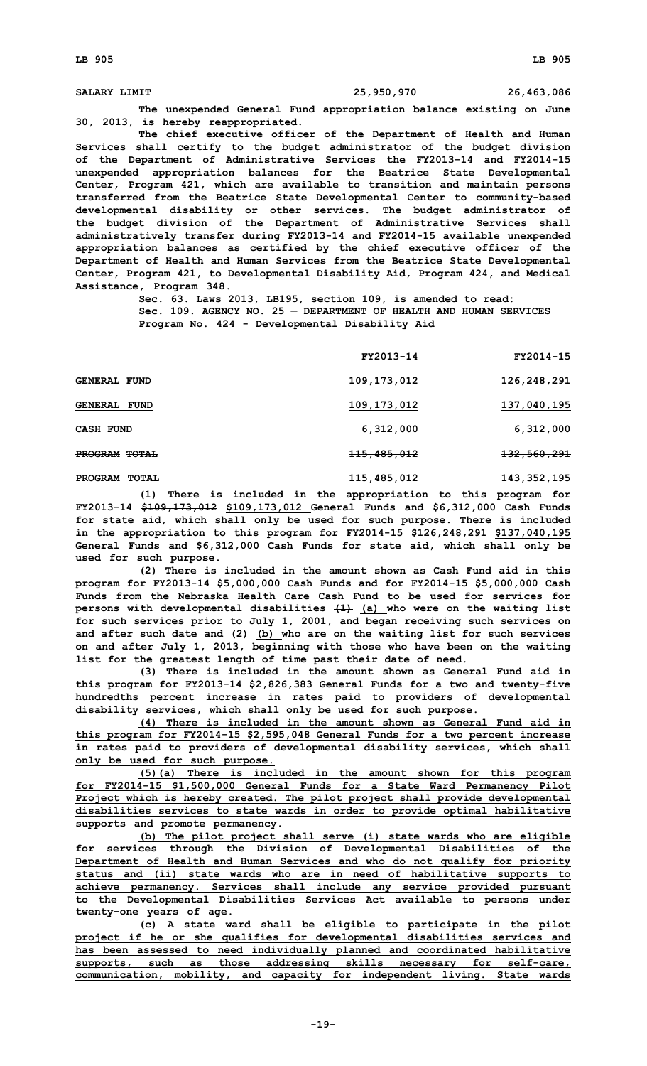**SALARY LIMIT 25,950,970 26,463,086**

**The unexpended General Fund appropriation balance existing on June 30, 2013, is hereby reappropriated.**

**The chief executive officer of the Department of Health and Human Services shall certify to the budget administrator of the budget division of the Department of Administrative Services the FY2013-14 and FY2014-15 unexpended appropriation balances for the Beatrice State Developmental Center, Program 421, which are available to transition and maintain persons transferred from the Beatrice State Developmental Center to community-based developmental disability or other services. The budget administrator of the budget division of the Department of Administrative Services shall administratively transfer during FY2013-14 and FY2014-15 available unexpended appropriation balances as certified by the chief executive officer of the Department of Health and Human Services from the Beatrice State Developmental Center, Program 421, to Developmental Disability Aid, Program 424, and Medical Assistance, Program 348.**

> **Sec. 63. Laws 2013, LB195, section 109, is amended to read: Sec. 109. AGENCY NO. 25 — DEPARTMENT OF HEALTH AND HUMAN SERVICES**

**Program No. 424 - Developmental Disability Aid**

|                                | FY2013-14              | FY2014-15              |
|--------------------------------|------------------------|------------------------|
| GENERAL FUND                   | <del>109,173,012</del> | <del>126,248,291</del> |
| <b>GENERAL FUND</b>            | 109, 173, 012          | 137,040,195            |
| <b>CASH FUND</b>               | 6,312,000              | 6,312,000              |
| PROGRAM TOTAL                  | <del>115,485,012</del> | <del>132,560,291</del> |
| <b>PROGRAM</b><br><b>TOTAL</b> | 115,485,012            | 143,352,195            |

**(1) There is included in the appropriation to this program for FY2013-14 \$109,173,012 \$109,173,012 General Funds and \$6,312,000 Cash Funds for state aid, which shall only be used for such purpose. There is included in the appropriation to this program for FY2014-15 \$126,248,291 \$137,040,195 General Funds and \$6,312,000 Cash Funds for state aid, which shall only be used for such purpose.**

**(2) There is included in the amount shown as Cash Fund aid in this program for FY2013-14 \$5,000,000 Cash Funds and for FY2014-15 \$5,000,000 Cash Funds from the Nebraska Health Care Cash Fund to be used for services for persons with developmental disabilities (1) (a) who were on the waiting list for such services prior to July 1, 2001, and began receiving such services on and after such date and (2) (b) who are on the waiting list for such services on and after July 1, 2013, beginning with those who have been on the waiting list for the greatest length of time past their date of need.**

**(3) There is included in the amount shown as General Fund aid in this program for FY2013-14 \$2,826,383 General Funds for <sup>a</sup> two and twenty-five hundredths percent increase in rates paid to providers of developmental disability services, which shall only be used for such purpose.**

**(4) There is included in the amount shown as General Fund aid in this program for FY2014-15 \$2,595,048 General Funds for <sup>a</sup> two percent increase in rates paid to providers of developmental disability services, which shall only be used for such purpose.**

**(5)(a) There is included in the amount shown for this program for FY2014-15 \$1,500,000 General Funds for <sup>a</sup> State Ward Permanency Pilot Project which is hereby created. The pilot project shall provide developmental disabilities services to state wards in order to provide optimal habilitative supports and promote permanency.**

**(b) The pilot project shall serve (i) state wards who are eligible for services through the Division of Developmental Disabilities of the Department of Health and Human Services and who do not qualify for priority status and (ii) state wards who are in need of habilitative supports to achieve permanency. Services shall include any service provided pursuant to the Developmental Disabilities Services Act available to persons under twenty-one years of age.**

**(c) <sup>A</sup> state ward shall be eligible to participate in the pilot project if he or she qualifies for developmental disabilities services and has been assessed to need individually planned and coordinated habilitative supports, such as those addressing skills necessary for self-care, communication, mobility, and capacity for independent living. State wards**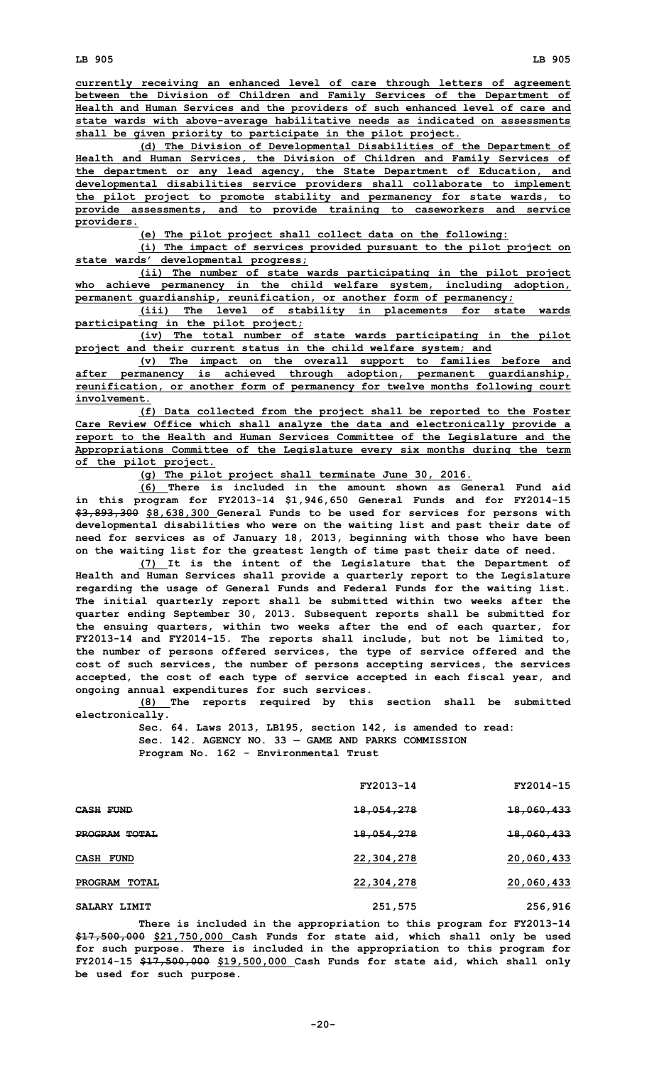**(d) The Division of Developmental Disabilities of the Department of Health and Human Services, the Division of Children and Family Services of the department or any lead agency, the State Department of Education, and developmental disabilities service providers shall collaborate to implement the pilot project to promote stability and permanency for state wards, to provide assessments, and to provide training to caseworkers and service providers.**

**(e) The pilot project shall collect data on the following:**

**(i) The impact of services provided pursuant to the pilot project on state wards' developmental progress;**

**(ii) The number of state wards participating in the pilot project who achieve permanency in the child welfare system, including adoption, permanent guardianship, reunification, or another form of permanency;**

**(iii) The level of stability in placements for state wards participating in the pilot project;**

**(iv) The total number of state wards participating in the pilot project and their current status in the child welfare system; and**

**(v) The impact on the overall support to families before and after permanency is achieved through adoption, permanent guardianship, reunification, or another form of permanency for twelve months following court involvement.**

**(f) Data collected from the project shall be reported to the Foster Care Review Office which shall analyze the data and electronically provide <sup>a</sup> report to the Health and Human Services Committee of the Legislature and the Appropriations Committee of the Legislature every six months during the term of the pilot project.**

**(g) The pilot project shall terminate June 30, 2016.**

**(6) There is included in the amount shown as General Fund aid in this program for FY2013-14 \$1,946,650 General Funds and for FY2014-15 \$3,893,300 \$8,638,300 General Funds to be used for services for persons with developmental disabilities who were on the waiting list and past their date of need for services as of January 18, 2013, beginning with those who have been on the waiting list for the greatest length of time past their date of need.**

**(7) It is the intent of the Legislature that the Department of Health and Human Services shall provide <sup>a</sup> quarterly report to the Legislature regarding the usage of General Funds and Federal Funds for the waiting list. The initial quarterly report shall be submitted within two weeks after the quarter ending September 30, 2013. Subsequent reports shall be submitted for the ensuing quarters, within two weeks after the end of each quarter, for FY2013-14 and FY2014-15. The reports shall include, but not be limited to, the number of persons offered services, the type of service offered and the cost of such services, the number of persons accepting services, the services accepted, the cost of each type of service accepted in each fiscal year, and ongoing annual expenditures for such services.**

**(8) The reports required by this section shall be submitted electronically.**

**Sec. 64. Laws 2013, LB195, section 142, is amended to read: Sec. 142. AGENCY NO. 33 — GAME AND PARKS COMMISSION Program No. 162 - Environmental Trust**

|               | FY2013-14  | FY2014-15             |
|---------------|------------|-----------------------|
| CASH FUND     | 18,054,278 | <del>18,060,433</del> |
| PROGRAM TOTAL | 18,054,278 | 18,060,433            |
| CASH FUND     | 22,304,278 | 20,060,433            |
| PROGRAM TOTAL | 22,304,278 | 20,060,433            |
| SALARY LIMIT  | 251,575    | 256,916               |

**There is included in the appropriation to this program for FY2013-14 \$17,500,000 \$21,750,000 Cash Funds for state aid, which shall only be used for such purpose. There is included in the appropriation to this program for FY2014-15 \$17,500,000 \$19,500,000 Cash Funds for state aid, which shall only be used for such purpose.**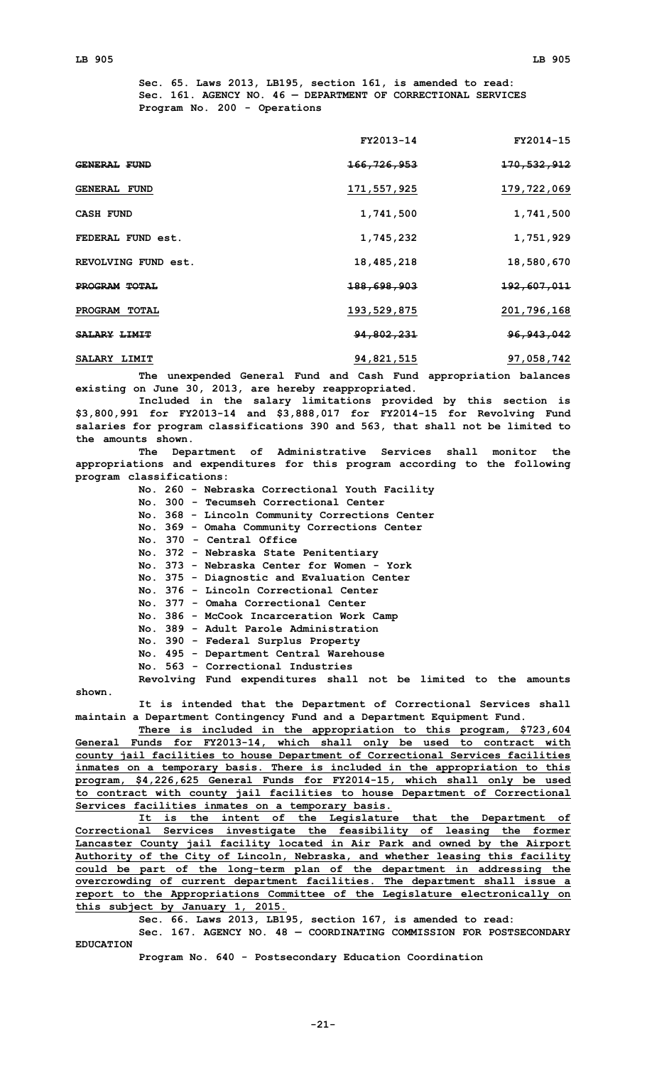**Sec. 65. Laws 2013, LB195, section 161, is amended to read: Sec. 161. AGENCY NO. 46 — DEPARTMENT OF CORRECTIONAL SERVICES Program No. 200 - Operations**

|                      | FY2013-14              | FY2014-15              |
|----------------------|------------------------|------------------------|
| <b>GENERAL FUND</b>  | <del>166,726,953</del> | 170, 532, 912          |
| <b>GENERAL FUND</b>  | 171,557,925            | 179,722,069            |
| <b>CASH FUND</b>     | 1,741,500              | 1,741,500              |
| FEDERAL FUND est.    | 1,745,232              | 1,751,929              |
| REVOLVING FUND est.  | 18,485,218             | 18,580,670             |
| <b>PROGRAM TOTAL</b> | <del>188,698,903</del> | <del>192,607,011</del> |
| PROGRAM TOTAL        | 193, 529, 875          | 201,796,168            |
| SALARY LIMIT         | 94,802,231             | 96, 943, 042           |
| SALARY LIMIT         | 94, 821, 515           | 97,058,742             |

**The unexpended General Fund and Cash Fund appropriation balances existing on June 30, 2013, are hereby reappropriated.**

**Included in the salary limitations provided by this section is \$3,800,991 for FY2013-14 and \$3,888,017 for FY2014-15 for Revolving Fund salaries for program classifications 390 and 563, that shall not be limited to the amounts shown.**

**The Department of Administrative Services shall monitor the appropriations and expenditures for this program according to the following program classifications:**

> **No. 260 - Nebraska Correctional Youth Facility No. 300 - Tecumseh Correctional Center No. 368 - Lincoln Community Corrections Center No. 369 - Omaha Community Corrections Center No. 370 - Central Office No. 372 - Nebraska State Penitentiary No. 373 - Nebraska Center for Women - York No. 375 - Diagnostic and Evaluation Center No. 376 - Lincoln Correctional Center No. 377 - Omaha Correctional Center No. 386 - McCook Incarceration Work Camp No. 389 - Adult Parole Administration No. 390 - Federal Surplus Property No. 495 - Department Central Warehouse No. 563 - Correctional Industries Revolving Fund expenditures shall not be limited to the amounts**

**shown.**

**It is intended that the Department of Correctional Services shall maintain <sup>a</sup> Department Contingency Fund and <sup>a</sup> Department Equipment Fund.**

**There is included in the appropriation to this program, \$723,604 General Funds for FY2013-14, which shall only be used to contract with county jail facilities to house Department of Correctional Services facilities inmates on <sup>a</sup> temporary basis. There is included in the appropriation to this program, \$4,226,625 General Funds for FY2014-15, which shall only be used to contract with county jail facilities to house Department of Correctional Services facilities inmates on <sup>a</sup> temporary basis.**

**It is the intent of the Legislature that the Department of Correctional Services investigate the feasibility of leasing the former Lancaster County jail facility located in Air Park and owned by the Airport Authority of the City of Lincoln, Nebraska, and whether leasing this facility could be part of the long-term plan of the department in addressing the overcrowding of current department facilities. The department shall issue <sup>a</sup> report to the Appropriations Committee of the Legislature electronically on this subject by January 1, 2015.**

**Sec. 66. Laws 2013, LB195, section 167, is amended to read:**

**Sec. 167. AGENCY NO. 48 — COORDINATING COMMISSION FOR POSTSECONDARY EDUCATION**

**Program No. 640 - Postsecondary Education Coordination**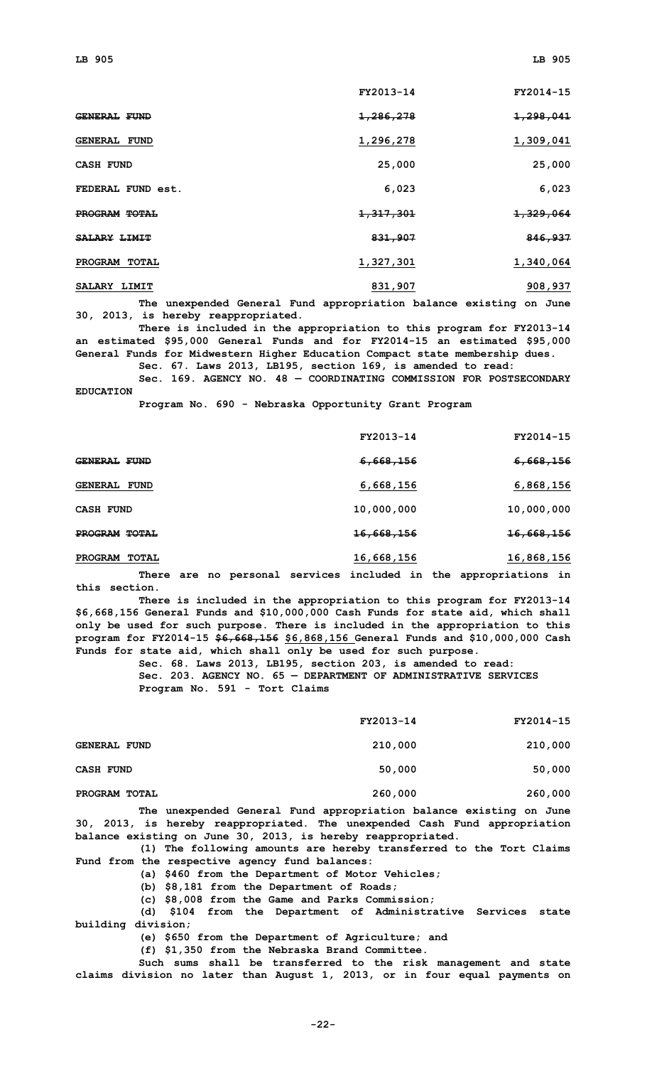|                                | FY2013-14            | FY2014-15 |
|--------------------------------|----------------------|-----------|
| <b>GENERAL FUND</b>            | 1,286,278            | 1,298,041 |
| <b>GENERAL FUND</b>            | 1,296,278            | 1,309,041 |
| <b>CASH FUND</b>               | 25,000               | 25,000    |
| FEDERAL FUND est.              | 6,023                | 6,023     |
| PROGRAM TOTAL                  | <del>1,317,301</del> | 1,329,064 |
| <b>SALARY LIMIT</b>            | 831,907              | 846,937   |
| <b>PROGRAM</b><br><b>TOTAL</b> | 1,327,301            | 1,340,064 |
| SALARY LIMIT                   | 831,907              | 908,937   |

**The unexpended General Fund appropriation balance existing on June 30, 2013, is hereby reappropriated.**

**There is included in the appropriation to this program for FY2013-14 an estimated \$95,000 General Funds and for FY2014-15 an estimated \$95,000 General Funds for Midwestern Higher Education Compact state membership dues.**

**Sec. 67. Laws 2013, LB195, section 169, is amended to read:**

**Sec. 169. AGENCY NO. 48 — COORDINATING COMMISSION FOR POSTSECONDARY EDUCATION**

**Program No. 690 - Nebraska Opportunity Grant Program**

|                  | FY2013-14             | FY2014-15             |
|------------------|-----------------------|-----------------------|
| GENERAL FUND     | <del>6,668,156</del>  | <del>6,668,156</del>  |
| GENERAL FUND     | 6,668,156             | 6,868,156             |
| <b>CASH FUND</b> | 10,000,000            | 10,000,000            |
| PROGRAM TOTAL    | <del>16,668,156</del> | <del>16,668,156</del> |
| PROGRAM TOTAL    | 16,668,156            | 16,868,156            |
|                  |                       |                       |

**There are no personal services included in the appropriations in this section.**

**There is included in the appropriation to this program for FY2013-14 \$6,668,156 General Funds and \$10,000,000 Cash Funds for state aid, which shall only be used for such purpose. There is included in the appropriation to this program for FY2014-15 \$6,668,156 \$6,868,156 General Funds and \$10,000,000 Cash Funds for state aid, which shall only be used for such purpose.**

> **Sec. 68. Laws 2013, LB195, section 203, is amended to read: Sec. 203. AGENCY NO. 65 — DEPARTMENT OF ADMINISTRATIVE SERVICES Program No. 591 - Tort Claims**

|                     | FY2013-14 | FY2014-15 |
|---------------------|-----------|-----------|
| <b>GENERAL FUND</b> | 210,000   | 210,000   |
| <b>CASH FUND</b>    | 50,000    | 50,000    |
| PROGRAM TOTAL       | 260,000   | 260,000   |

**The unexpended General Fund appropriation balance existing on June 30, 2013, is hereby reappropriated. The unexpended Cash Fund appropriation balance existing on June 30, 2013, is hereby reappropriated.**

**(1) The following amounts are hereby transferred to the Tort Claims Fund from the respective agency fund balances:**

**(a) \$460 from the Department of Motor Vehicles;**

**(b) \$8,181 from the Department of Roads;**

**(c) \$8,008 from the Game and Parks Commission;**

**(d) \$104 from the Department of Administrative Services state building division;**

**(e) \$650 from the Department of Agriculture; and**

**(f) \$1,350 from the Nebraska Brand Committee.**

**Such sums shall be transferred to the risk management and state claims division no later than August 1, 2013, or in four equal payments on**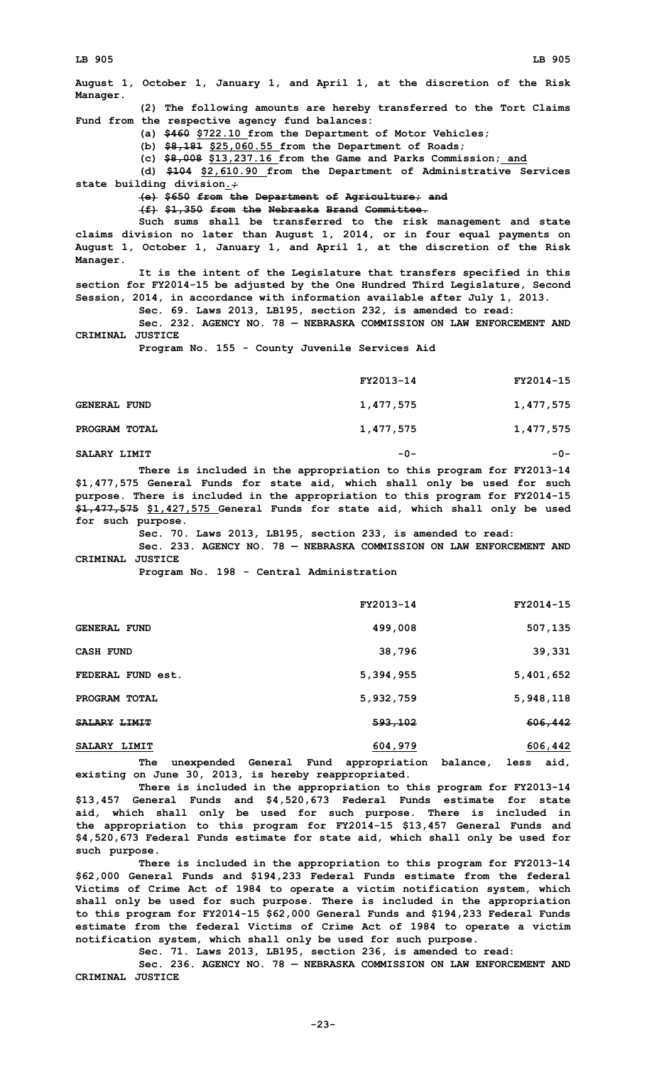**August 1, October 1, January 1, and April 1, at the discretion of the Risk Manager. (2) The following amounts are hereby transferred to the Tort Claims Fund from the respective agency fund balances: (a) \$460 \$722.10 from the Department of Motor Vehicles; (b) \$8,181 \$25,060.55 from the Department of Roads; (c) \$8,008 \$13,237.16 from the Game and Parks Commission; and (d) \$104 \$2,610.90 from the Department of Administrative Services state building division.; (e) \$650 from the Department of Agriculture; and (f) \$1,350 from the Nebraska Brand Committee. Such sums shall be transferred to the risk management and state claims division no later than August 1, 2014, or in four equal payments on August 1, October 1, January 1, and April 1, at the discretion of the Risk Manager. It is the intent of the Legislature that transfers specified in this section for FY2014-15 be adjusted by the One Hundred Third Legislature, Second Session, 2014, in accordance with information available after July 1, 2013. Sec. 69. Laws 2013, LB195, section 232, is amended to read: Sec. 232. AGENCY NO. 78 — NEBRASKA COMMISSION ON LAW ENFORCEMENT AND CRIMINAL JUSTICE Program No. 155 - County Juvenile Services Aid FY2013-14 FY2014-15 GENERAL FUND 1,477,575 1,477,575**

| PROGRAM TOTAL | 1,477,575 | 1,477,575 |
|---------------|-----------|-----------|
|               |           |           |

**SALARY LIMIT -0- -0-**

**There is included in the appropriation to this program for FY2013-14 \$1,477,575 General Funds for state aid, which shall only be used for such purpose. There is included in the appropriation to this program for FY2014-15 \$1,477,575 \$1,427,575 General Funds for state aid, which shall only be used for such purpose.**

**Sec. 70. Laws 2013, LB195, section 233, is amended to read:**

**Sec. 233. AGENCY NO. 78 — NEBRASKA COMMISSION ON LAW ENFORCEMENT AND CRIMINAL JUSTICE**

**Program No. 198 - Central Administration**

|                                    | FY2013-14          | FY2014-15 |
|------------------------------------|--------------------|-----------|
| <b>GENERAL FUND</b>                | 499,008            | 507,135   |
| <b>CASH FUND</b>                   | 38,796             | 39,331    |
| FEDERAL FUND est.                  | 5,394,955          | 5,401,652 |
| PROGRAM TOTAL                      | 5,932,759          | 5,948,118 |
| <del>SALARY</del> <del>LIMIT</del> | <del>593,102</del> | 606,442   |
| <b>SALARY LIMIT</b>                | 604,979            | 606,442   |

**The unexpended General Fund appropriation balance, less aid, existing on June 30, 2013, is hereby reappropriated.**

**There is included in the appropriation to this program for FY2013-14 \$13,457 General Funds and \$4,520,673 Federal Funds estimate for state aid, which shall only be used for such purpose. There is included in the appropriation to this program for FY2014-15 \$13,457 General Funds and \$4,520,673 Federal Funds estimate for state aid, which shall only be used for such purpose.**

**There is included in the appropriation to this program for FY2013-14 \$62,000 General Funds and \$194,233 Federal Funds estimate from the federal Victims of Crime Act of 1984 to operate <sup>a</sup> victim notification system, which shall only be used for such purpose. There is included in the appropriation to this program for FY2014-15 \$62,000 General Funds and \$194,233 Federal Funds estimate from the federal Victims of Crime Act of 1984 to operate <sup>a</sup> victim notification system, which shall only be used for such purpose.**

**Sec. 71. Laws 2013, LB195, section 236, is amended to read:**

**Sec. 236. AGENCY NO. 78 — NEBRASKA COMMISSION ON LAW ENFORCEMENT AND CRIMINAL JUSTICE**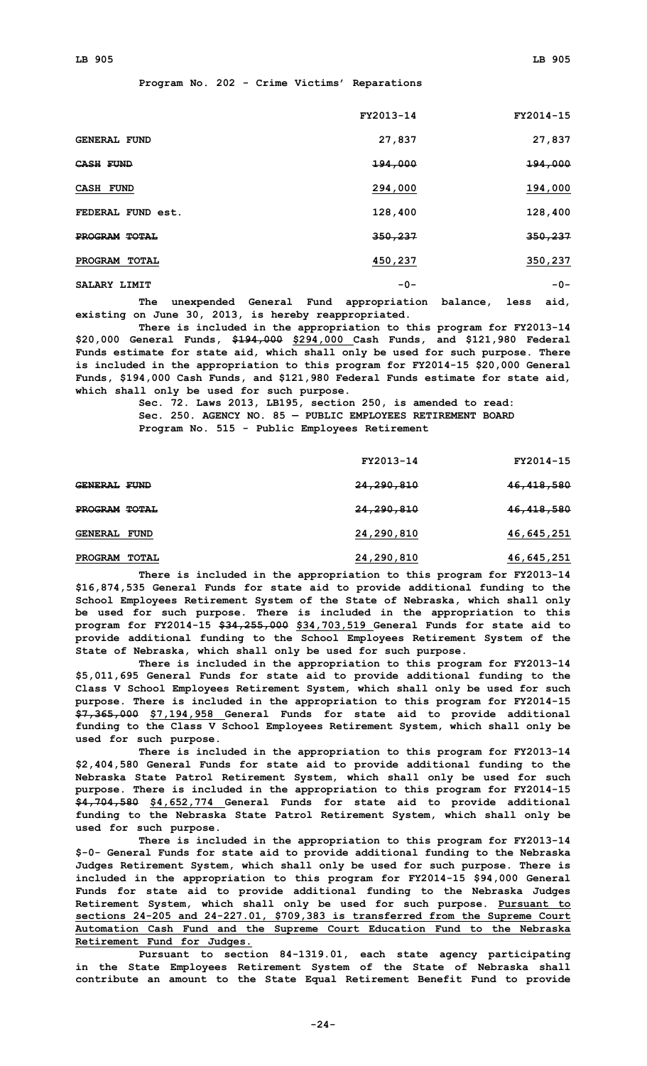**Program No. 202 - Crime Victims' Reparations**

|                     | FY2013-14 | FY2014-15 |
|---------------------|-----------|-----------|
| <b>GENERAL FUND</b> | 27,837    | 27,837    |
| <b>CASH FUND</b>    | 194,000   | 194,000   |
| <b>CASH FUND</b>    | 294,000   | 194,000   |
| FEDERAL FUND est.   | 128,400   | 128,400   |
| PROGRAM TOTAL       | 350,237   | 350,237   |
| PROGRAM TOTAL       | 450,237   | 350,237   |
| SALARY LIMIT        | $-0-$     | $-0-$     |

**The unexpended General Fund appropriation balance, less aid, existing on June 30, 2013, is hereby reappropriated.**

**There is included in the appropriation to this program for FY2013-14 \$20,000 General Funds, \$194,000 \$294,000 Cash Funds, and \$121,980 Federal Funds estimate for state aid, which shall only be used for such purpose. There is included in the appropriation to this program for FY2014-15 \$20,000 General Funds, \$194,000 Cash Funds, and \$121,980 Federal Funds estimate for state aid, which shall only be used for such purpose.**

**Sec. 72. Laws 2013, LB195, section 250, is amended to read: Sec. 250. AGENCY NO. 85 — PUBLIC EMPLOYEES RETIREMENT BOARD Program No. 515 - Public Employees Retirement**

|                     | FY2013-14             | FY2014-15    |
|---------------------|-----------------------|--------------|
| <b>GENERAL FUND</b> | <del>24,290,810</del> | 46, 418, 580 |
| PROGRAM TOTAL       | 24,290,810            | 46,418,580   |
| <b>GENERAL FUND</b> | 24,290,810            | 46,645,251   |
| PROGRAM TOTAL       | 24,290,810            | 46,645,251   |

**There is included in the appropriation to this program for FY2013-14 \$16,874,535 General Funds for state aid to provide additional funding to the School Employees Retirement System of the State of Nebraska, which shall only be used for such purpose. There is included in the appropriation to this program for FY2014-15 \$34,255,000 \$34,703,519 General Funds for state aid to provide additional funding to the School Employees Retirement System of the State of Nebraska, which shall only be used for such purpose.**

**There is included in the appropriation to this program for FY2013-14 \$5,011,695 General Funds for state aid to provide additional funding to the Class V School Employees Retirement System, which shall only be used for such purpose. There is included in the appropriation to this program for FY2014-15 \$7,365,000 \$7,194,958 General Funds for state aid to provide additional funding to the Class V School Employees Retirement System, which shall only be used for such purpose.**

**There is included in the appropriation to this program for FY2013-14 \$2,404,580 General Funds for state aid to provide additional funding to the Nebraska State Patrol Retirement System, which shall only be used for such purpose. There is included in the appropriation to this program for FY2014-15 \$4,704,580 \$4,652,774 General Funds for state aid to provide additional funding to the Nebraska State Patrol Retirement System, which shall only be used for such purpose.**

**There is included in the appropriation to this program for FY2013-14 \$-0- General Funds for state aid to provide additional funding to the Nebraska Judges Retirement System, which shall only be used for such purpose. There is included in the appropriation to this program for FY2014-15 \$94,000 General Funds for state aid to provide additional funding to the Nebraska Judges Retirement System, which shall only be used for such purpose. Pursuant to sections 24-205 and 24-227.01, \$709,383 is transferred from the Supreme Court Automation Cash Fund and the Supreme Court Education Fund to the Nebraska Retirement Fund for Judges.**

**Pursuant to section 84-1319.01, each state agency participating in the State Employees Retirement System of the State of Nebraska shall contribute an amount to the State Equal Retirement Benefit Fund to provide**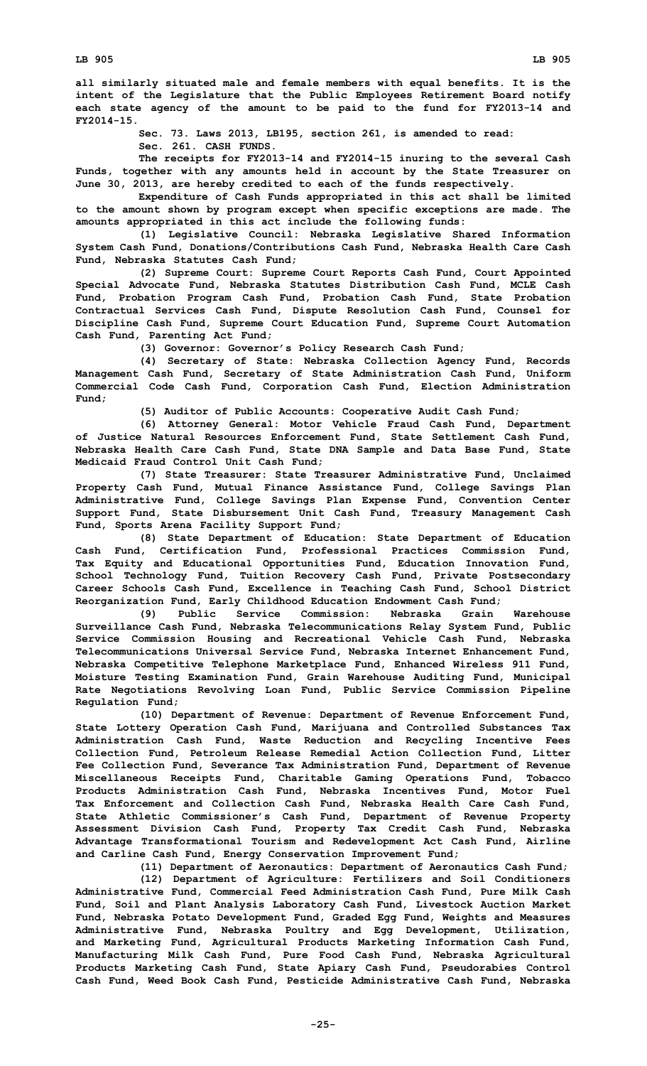**all similarly situated male and female members with equal benefits. It is the intent of the Legislature that the Public Employees Retirement Board notify each state agency of the amount to be paid to the fund for FY2013-14 and FY2014-15.**

**Sec. 73. Laws 2013, LB195, section 261, is amended to read:**

**Sec. 261. CASH FUNDS.**

**The receipts for FY2013-14 and FY2014-15 inuring to the several Cash Funds, together with any amounts held in account by the State Treasurer on June 30, 2013, are hereby credited to each of the funds respectively.**

**Expenditure of Cash Funds appropriated in this act shall be limited to the amount shown by program except when specific exceptions are made. The amounts appropriated in this act include the following funds:**

**(1) Legislative Council: Nebraska Legislative Shared Information System Cash Fund, Donations/Contributions Cash Fund, Nebraska Health Care Cash Fund, Nebraska Statutes Cash Fund;**

**(2) Supreme Court: Supreme Court Reports Cash Fund, Court Appointed Special Advocate Fund, Nebraska Statutes Distribution Cash Fund, MCLE Cash Fund, Probation Program Cash Fund, Probation Cash Fund, State Probation Contractual Services Cash Fund, Dispute Resolution Cash Fund, Counsel for Discipline Cash Fund, Supreme Court Education Fund, Supreme Court Automation Cash Fund, Parenting Act Fund;**

**(3) Governor: Governor's Policy Research Cash Fund;**

**(4) Secretary of State: Nebraska Collection Agency Fund, Records Management Cash Fund, Secretary of State Administration Cash Fund, Uniform Commercial Code Cash Fund, Corporation Cash Fund, Election Administration Fund;**

**(5) Auditor of Public Accounts: Cooperative Audit Cash Fund;**

**(6) Attorney General: Motor Vehicle Fraud Cash Fund, Department of Justice Natural Resources Enforcement Fund, State Settlement Cash Fund, Nebraska Health Care Cash Fund, State DNA Sample and Data Base Fund, State Medicaid Fraud Control Unit Cash Fund;**

**(7) State Treasurer: State Treasurer Administrative Fund, Unclaimed Property Cash Fund, Mutual Finance Assistance Fund, College Savings Plan Administrative Fund, College Savings Plan Expense Fund, Convention Center Support Fund, State Disbursement Unit Cash Fund, Treasury Management Cash Fund, Sports Arena Facility Support Fund;**

**(8) State Department of Education: State Department of Education Cash Fund, Certification Fund, Professional Practices Commission Fund, Tax Equity and Educational Opportunities Fund, Education Innovation Fund, School Technology Fund, Tuition Recovery Cash Fund, Private Postsecondary Career Schools Cash Fund, Excellence in Teaching Cash Fund, School District Reorganization Fund, Early Childhood Education Endowment Cash Fund;**

**(9) Public Service Commission: Nebraska Grain Warehouse Surveillance Cash Fund, Nebraska Telecommunications Relay System Fund, Public Service Commission Housing and Recreational Vehicle Cash Fund, Nebraska Telecommunications Universal Service Fund, Nebraska Internet Enhancement Fund, Nebraska Competitive Telephone Marketplace Fund, Enhanced Wireless 911 Fund, Moisture Testing Examination Fund, Grain Warehouse Auditing Fund, Municipal Rate Negotiations Revolving Loan Fund, Public Service Commission Pipeline Regulation Fund;**

**(10) Department of Revenue: Department of Revenue Enforcement Fund, State Lottery Operation Cash Fund, Marijuana and Controlled Substances Tax Administration Cash Fund, Waste Reduction and Recycling Incentive Fees Collection Fund, Petroleum Release Remedial Action Collection Fund, Litter Fee Collection Fund, Severance Tax Administration Fund, Department of Revenue Miscellaneous Receipts Fund, Charitable Gaming Operations Fund, Tobacco Products Administration Cash Fund, Nebraska Incentives Fund, Motor Fuel Tax Enforcement and Collection Cash Fund, Nebraska Health Care Cash Fund, State Athletic Commissioner's Cash Fund, Department of Revenue Property Assessment Division Cash Fund, Property Tax Credit Cash Fund, Nebraska Advantage Transformational Tourism and Redevelopment Act Cash Fund, Airline and Carline Cash Fund, Energy Conservation Improvement Fund;**

**(11) Department of Aeronautics: Department of Aeronautics Cash Fund;**

**(12) Department of Agriculture: Fertilizers and Soil Conditioners Administrative Fund, Commercial Feed Administration Cash Fund, Pure Milk Cash Fund, Soil and Plant Analysis Laboratory Cash Fund, Livestock Auction Market Fund, Nebraska Potato Development Fund, Graded Egg Fund, Weights and Measures Administrative Fund, Nebraska Poultry and Egg Development, Utilization, and Marketing Fund, Agricultural Products Marketing Information Cash Fund, Manufacturing Milk Cash Fund, Pure Food Cash Fund, Nebraska Agricultural Products Marketing Cash Fund, State Apiary Cash Fund, Pseudorabies Control Cash Fund, Weed Book Cash Fund, Pesticide Administrative Cash Fund, Nebraska**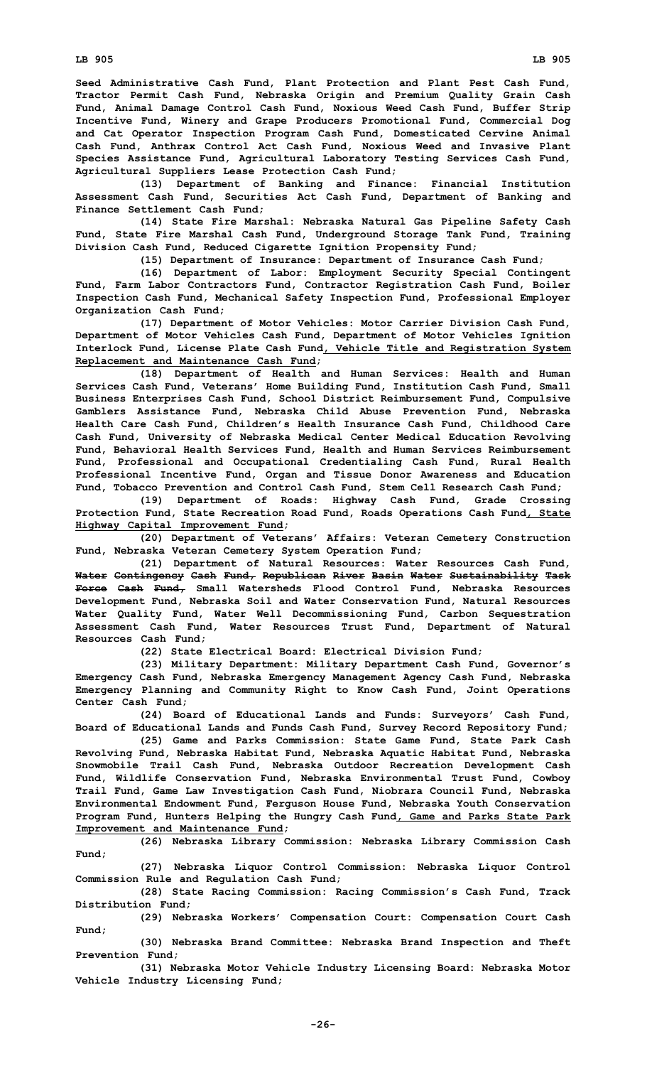**Seed Administrative Cash Fund, Plant Protection and Plant Pest Cash Fund, Tractor Permit Cash Fund, Nebraska Origin and Premium Quality Grain Cash Fund, Animal Damage Control Cash Fund, Noxious Weed Cash Fund, Buffer Strip Incentive Fund, Winery and Grape Producers Promotional Fund, Commercial Dog and Cat Operator Inspection Program Cash Fund, Domesticated Cervine Animal Cash Fund, Anthrax Control Act Cash Fund, Noxious Weed and Invasive Plant Species Assistance Fund, Agricultural Laboratory Testing Services Cash Fund, Agricultural Suppliers Lease Protection Cash Fund;**

**(13) Department of Banking and Finance: Financial Institution Assessment Cash Fund, Securities Act Cash Fund, Department of Banking and Finance Settlement Cash Fund;**

**(14) State Fire Marshal: Nebraska Natural Gas Pipeline Safety Cash Fund, State Fire Marshal Cash Fund, Underground Storage Tank Fund, Training Division Cash Fund, Reduced Cigarette Ignition Propensity Fund;**

**(15) Department of Insurance: Department of Insurance Cash Fund;**

**(16) Department of Labor: Employment Security Special Contingent Fund, Farm Labor Contractors Fund, Contractor Registration Cash Fund, Boiler Inspection Cash Fund, Mechanical Safety Inspection Fund, Professional Employer Organization Cash Fund;**

**(17) Department of Motor Vehicles: Motor Carrier Division Cash Fund, Department of Motor Vehicles Cash Fund, Department of Motor Vehicles Ignition Interlock Fund, License Plate Cash Fund, Vehicle Title and Registration System Replacement and Maintenance Cash Fund;**

**(18) Department of Health and Human Services: Health and Human Services Cash Fund, Veterans' Home Building Fund, Institution Cash Fund, Small Business Enterprises Cash Fund, School District Reimbursement Fund, Compulsive Gamblers Assistance Fund, Nebraska Child Abuse Prevention Fund, Nebraska Health Care Cash Fund, Children's Health Insurance Cash Fund, Childhood Care Cash Fund, University of Nebraska Medical Center Medical Education Revolving Fund, Behavioral Health Services Fund, Health and Human Services Reimbursement Fund, Professional and Occupational Credentialing Cash Fund, Rural Health Professional Incentive Fund, Organ and Tissue Donor Awareness and Education Fund, Tobacco Prevention and Control Cash Fund, Stem Cell Research Cash Fund;**

**(19) Department of Roads: Highway Cash Fund, Grade Crossing Protection Fund, State Recreation Road Fund, Roads Operations Cash Fund, State Highway Capital Improvement Fund;**

**(20) Department of Veterans' Affairs: Veteran Cemetery Construction Fund, Nebraska Veteran Cemetery System Operation Fund;**

**(21) Department of Natural Resources: Water Resources Cash Fund, Water Contingency Cash Fund, Republican River Basin Water Sustainability Task Force Cash Fund, Small Watersheds Flood Control Fund, Nebraska Resources Development Fund, Nebraska Soil and Water Conservation Fund, Natural Resources Water Quality Fund, Water Well Decommissioning Fund, Carbon Sequestration Assessment Cash Fund, Water Resources Trust Fund, Department of Natural Resources Cash Fund;**

**(22) State Electrical Board: Electrical Division Fund;**

**(23) Military Department: Military Department Cash Fund, Governor's Emergency Cash Fund, Nebraska Emergency Management Agency Cash Fund, Nebraska Emergency Planning and Community Right to Know Cash Fund, Joint Operations Center Cash Fund;**

**(24) Board of Educational Lands and Funds: Surveyors' Cash Fund, Board of Educational Lands and Funds Cash Fund, Survey Record Repository Fund;**

**(25) Game and Parks Commission: State Game Fund, State Park Cash Revolving Fund, Nebraska Habitat Fund, Nebraska Aquatic Habitat Fund, Nebraska Snowmobile Trail Cash Fund, Nebraska Outdoor Recreation Development Cash Fund, Wildlife Conservation Fund, Nebraska Environmental Trust Fund, Cowboy Trail Fund, Game Law Investigation Cash Fund, Niobrara Council Fund, Nebraska Environmental Endowment Fund, Ferguson House Fund, Nebraska Youth Conservation Program Fund, Hunters Helping the Hungry Cash Fund, Game and Parks State Park Improvement and Maintenance Fund;**

**(26) Nebraska Library Commission: Nebraska Library Commission Cash Fund;**

**(27) Nebraska Liquor Control Commission: Nebraska Liquor Control Commission Rule and Regulation Cash Fund;**

**(28) State Racing Commission: Racing Commission's Cash Fund, Track Distribution Fund;**

**(29) Nebraska Workers' Compensation Court: Compensation Court Cash Fund;**

**(30) Nebraska Brand Committee: Nebraska Brand Inspection and Theft Prevention Fund;**

**(31) Nebraska Motor Vehicle Industry Licensing Board: Nebraska Motor Vehicle Industry Licensing Fund;**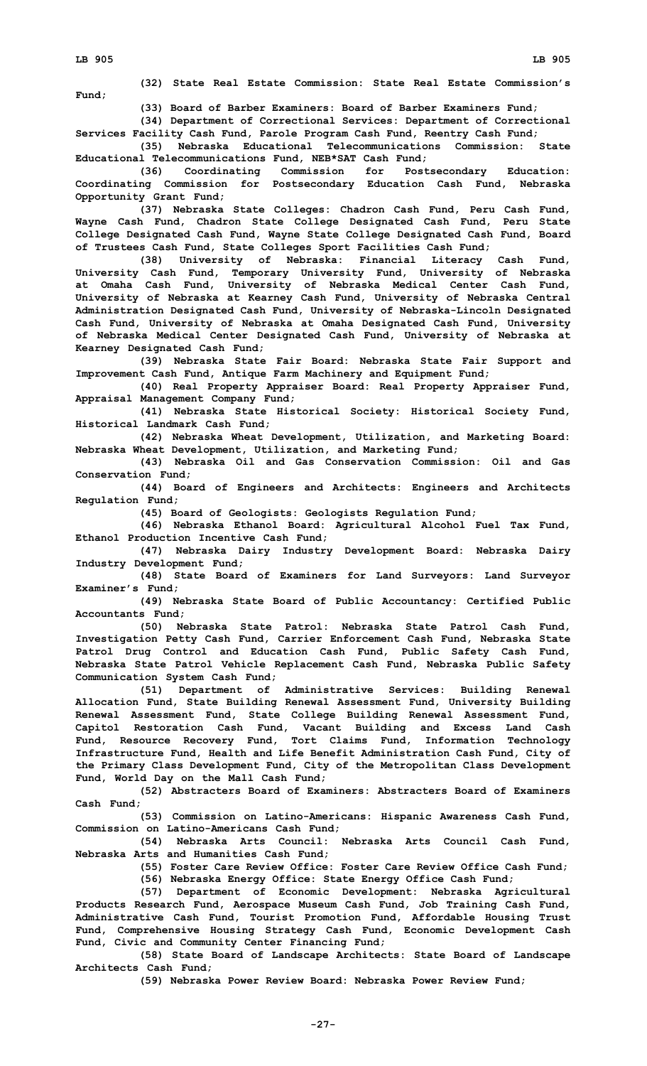**Fund;**

**(32) State Real Estate Commission: State Real Estate Commission's**

**(33) Board of Barber Examiners: Board of Barber Examiners Fund;**

**(34) Department of Correctional Services: Department of Correctional Services Facility Cash Fund, Parole Program Cash Fund, Reentry Cash Fund;**

**(35) Nebraska Educational Telecommunications Commission: State Educational Telecommunications Fund, NEB\*SAT Cash Fund;**

**(36) Coordinating Commission for Postsecondary Education: Coordinating Commission for Postsecondary Education Cash Fund, Nebraska Opportunity Grant Fund;**

**(37) Nebraska State Colleges: Chadron Cash Fund, Peru Cash Fund, Wayne Cash Fund, Chadron State College Designated Cash Fund, Peru State College Designated Cash Fund, Wayne State College Designated Cash Fund, Board of Trustees Cash Fund, State Colleges Sport Facilities Cash Fund;**

**(38) University of Nebraska: Financial Literacy Cash Fund, University Cash Fund, Temporary University Fund, University of Nebraska at Omaha Cash Fund, University of Nebraska Medical Center Cash Fund, University of Nebraska at Kearney Cash Fund, University of Nebraska Central Administration Designated Cash Fund, University of Nebraska-Lincoln Designated Cash Fund, University of Nebraska at Omaha Designated Cash Fund, University of Nebraska Medical Center Designated Cash Fund, University of Nebraska at Kearney Designated Cash Fund;**

**(39) Nebraska State Fair Board: Nebraska State Fair Support and Improvement Cash Fund, Antique Farm Machinery and Equipment Fund;**

**(40) Real Property Appraiser Board: Real Property Appraiser Fund, Appraisal Management Company Fund;**

**(41) Nebraska State Historical Society: Historical Society Fund, Historical Landmark Cash Fund;**

**(42) Nebraska Wheat Development, Utilization, and Marketing Board: Nebraska Wheat Development, Utilization, and Marketing Fund;**

**(43) Nebraska Oil and Gas Conservation Commission: Oil and Gas Conservation Fund;**

**(44) Board of Engineers and Architects: Engineers and Architects Regulation Fund;**

**(45) Board of Geologists: Geologists Regulation Fund;**

**(46) Nebraska Ethanol Board: Agricultural Alcohol Fuel Tax Fund, Ethanol Production Incentive Cash Fund;**

**(47) Nebraska Dairy Industry Development Board: Nebraska Dairy Industry Development Fund;**

**(48) State Board of Examiners for Land Surveyors: Land Surveyor Examiner's Fund;**

**(49) Nebraska State Board of Public Accountancy: Certified Public Accountants Fund;**

**(50) Nebraska State Patrol: Nebraska State Patrol Cash Fund, Investigation Petty Cash Fund, Carrier Enforcement Cash Fund, Nebraska State Patrol Drug Control and Education Cash Fund, Public Safety Cash Fund, Nebraska State Patrol Vehicle Replacement Cash Fund, Nebraska Public Safety Communication System Cash Fund;**

**(51) Department of Administrative Services: Building Renewal Allocation Fund, State Building Renewal Assessment Fund, University Building Renewal Assessment Fund, State College Building Renewal Assessment Fund, Capitol Restoration Cash Fund, Vacant Building and Excess Land Cash Fund, Resource Recovery Fund, Tort Claims Fund, Information Technology Infrastructure Fund, Health and Life Benefit Administration Cash Fund, City of the Primary Class Development Fund, City of the Metropolitan Class Development Fund, World Day on the Mall Cash Fund;**

**(52) Abstracters Board of Examiners: Abstracters Board of Examiners Cash Fund;**

**(53) Commission on Latino-Americans: Hispanic Awareness Cash Fund, Commission on Latino-Americans Cash Fund;**

**(54) Nebraska Arts Council: Nebraska Arts Council Cash Fund, Nebraska Arts and Humanities Cash Fund;**

**(55) Foster Care Review Office: Foster Care Review Office Cash Fund;**

**(56) Nebraska Energy Office: State Energy Office Cash Fund;**

**(57) Department of Economic Development: Nebraska Agricultural Products Research Fund, Aerospace Museum Cash Fund, Job Training Cash Fund, Administrative Cash Fund, Tourist Promotion Fund, Affordable Housing Trust Fund, Comprehensive Housing Strategy Cash Fund, Economic Development Cash Fund, Civic and Community Center Financing Fund;**

**(58) State Board of Landscape Architects: State Board of Landscape Architects Cash Fund;**

**(59) Nebraska Power Review Board: Nebraska Power Review Fund;**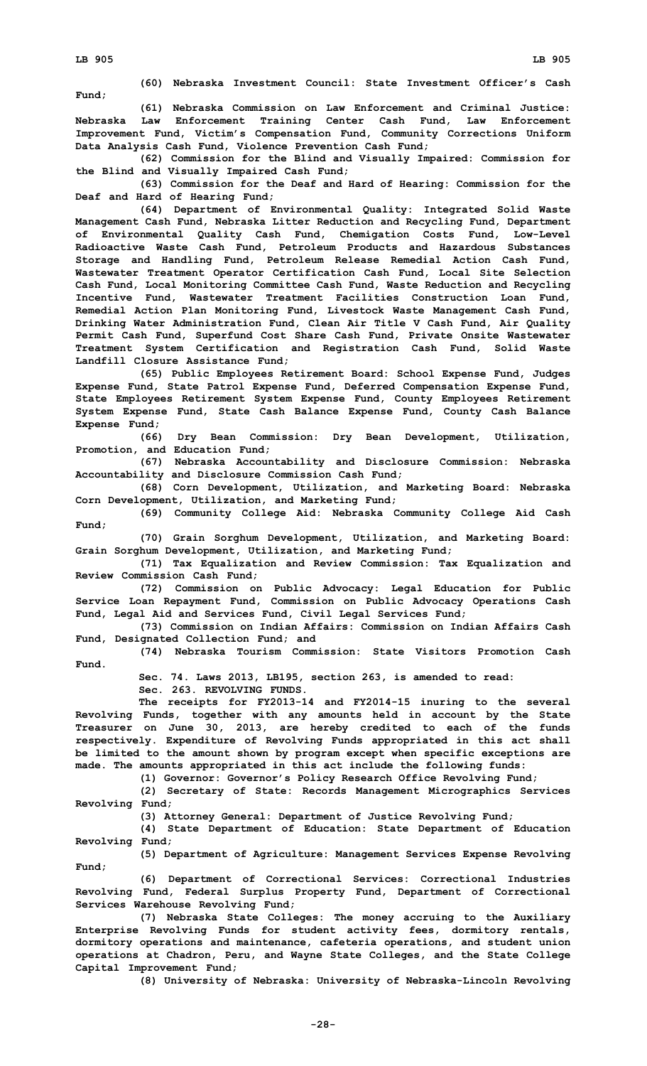**Fund;**

**(60) Nebraska Investment Council: State Investment Officer's Cash**

**(61) Nebraska Commission on Law Enforcement and Criminal Justice: Nebraska Law Enforcement Training Center Cash Fund, Law Enforcement Improvement Fund, Victim's Compensation Fund, Community Corrections Uniform Data Analysis Cash Fund, Violence Prevention Cash Fund;**

**(62) Commission for the Blind and Visually Impaired: Commission for the Blind and Visually Impaired Cash Fund;**

**(63) Commission for the Deaf and Hard of Hearing: Commission for the Deaf and Hard of Hearing Fund;**

**(64) Department of Environmental Quality: Integrated Solid Waste Management Cash Fund, Nebraska Litter Reduction and Recycling Fund, Department of Environmental Quality Cash Fund, Chemigation Costs Fund, Low-Level Radioactive Waste Cash Fund, Petroleum Products and Hazardous Substances Storage and Handling Fund, Petroleum Release Remedial Action Cash Fund, Wastewater Treatment Operator Certification Cash Fund, Local Site Selection Cash Fund, Local Monitoring Committee Cash Fund, Waste Reduction and Recycling Incentive Fund, Wastewater Treatment Facilities Construction Loan Fund, Remedial Action Plan Monitoring Fund, Livestock Waste Management Cash Fund, Drinking Water Administration Fund, Clean Air Title V Cash Fund, Air Quality Permit Cash Fund, Superfund Cost Share Cash Fund, Private Onsite Wastewater Treatment System Certification and Registration Cash Fund, Solid Waste Landfill Closure Assistance Fund;**

**(65) Public Employees Retirement Board: School Expense Fund, Judges Expense Fund, State Patrol Expense Fund, Deferred Compensation Expense Fund, State Employees Retirement System Expense Fund, County Employees Retirement System Expense Fund, State Cash Balance Expense Fund, County Cash Balance Expense Fund;**

**(66) Dry Bean Commission: Dry Bean Development, Utilization, Promotion, and Education Fund;**

**(67) Nebraska Accountability and Disclosure Commission: Nebraska Accountability and Disclosure Commission Cash Fund;**

**(68) Corn Development, Utilization, and Marketing Board: Nebraska Corn Development, Utilization, and Marketing Fund;**

**(69) Community College Aid: Nebraska Community College Aid Cash Fund;**

**(70) Grain Sorghum Development, Utilization, and Marketing Board: Grain Sorghum Development, Utilization, and Marketing Fund;**

**(71) Tax Equalization and Review Commission: Tax Equalization and Review Commission Cash Fund;**

**(72) Commission on Public Advocacy: Legal Education for Public Service Loan Repayment Fund, Commission on Public Advocacy Operations Cash Fund, Legal Aid and Services Fund, Civil Legal Services Fund;**

**(73) Commission on Indian Affairs: Commission on Indian Affairs Cash Fund, Designated Collection Fund; and**

**(74) Nebraska Tourism Commission: State Visitors Promotion Cash Fund.**

**Sec. 74. Laws 2013, LB195, section 263, is amended to read:**

**Sec. 263. REVOLVING FUNDS.**

**The receipts for FY2013-14 and FY2014-15 inuring to the several Revolving Funds, together with any amounts held in account by the State Treasurer on June 30, 2013, are hereby credited to each of the funds respectively. Expenditure of Revolving Funds appropriated in this act shall be limited to the amount shown by program except when specific exceptions are made. The amounts appropriated in this act include the following funds:**

**(1) Governor: Governor's Policy Research Office Revolving Fund;**

**(2) Secretary of State: Records Management Micrographics Services Revolving Fund;**

**(3) Attorney General: Department of Justice Revolving Fund;**

**(4) State Department of Education: State Department of Education Revolving Fund;**

**(5) Department of Agriculture: Management Services Expense Revolving Fund;**

**(6) Department of Correctional Services: Correctional Industries Revolving Fund, Federal Surplus Property Fund, Department of Correctional Services Warehouse Revolving Fund;**

**(7) Nebraska State Colleges: The money accruing to the Auxiliary Enterprise Revolving Funds for student activity fees, dormitory rentals, dormitory operations and maintenance, cafeteria operations, and student union operations at Chadron, Peru, and Wayne State Colleges, and the State College Capital Improvement Fund;**

**(8) University of Nebraska: University of Nebraska-Lincoln Revolving**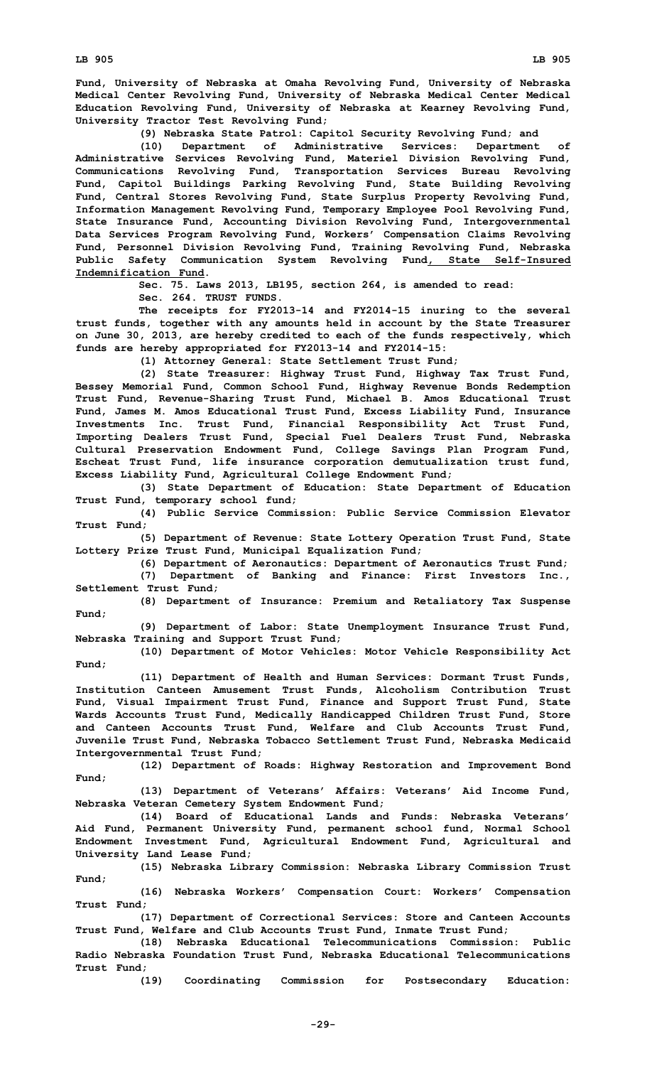**Fund, University of Nebraska at Omaha Revolving Fund, University of Nebraska Medical Center Revolving Fund, University of Nebraska Medical Center Medical Education Revolving Fund, University of Nebraska at Kearney Revolving Fund, University Tractor Test Revolving Fund;**

**(9) Nebraska State Patrol: Capitol Security Revolving Fund; and**

**(10) Department of Administrative Services: Department of Administrative Services Revolving Fund, Materiel Division Revolving Fund, Communications Revolving Fund, Transportation Services Bureau Revolving Fund, Capitol Buildings Parking Revolving Fund, State Building Revolving Fund, Central Stores Revolving Fund, State Surplus Property Revolving Fund, Information Management Revolving Fund, Temporary Employee Pool Revolving Fund, State Insurance Fund, Accounting Division Revolving Fund, Intergovernmental Data Services Program Revolving Fund, Workers' Compensation Claims Revolving Fund, Personnel Division Revolving Fund, Training Revolving Fund, Nebraska Public Safety Communication System Revolving Fund, State Self-Insured Indemnification Fund.**

**Sec. 75. Laws 2013, LB195, section 264, is amended to read:**

**Sec. 264. TRUST FUNDS.**

**The receipts for FY2013-14 and FY2014-15 inuring to the several trust funds, together with any amounts held in account by the State Treasurer on June 30, 2013, are hereby credited to each of the funds respectively, which funds are hereby appropriated for FY2013-14 and FY2014-15:**

**(1) Attorney General: State Settlement Trust Fund;**

**(2) State Treasurer: Highway Trust Fund, Highway Tax Trust Fund, Bessey Memorial Fund, Common School Fund, Highway Revenue Bonds Redemption Trust Fund, Revenue-Sharing Trust Fund, Michael B. Amos Educational Trust Fund, James M. Amos Educational Trust Fund, Excess Liability Fund, Insurance Investments Inc. Trust Fund, Financial Responsibility Act Trust Fund, Importing Dealers Trust Fund, Special Fuel Dealers Trust Fund, Nebraska Cultural Preservation Endowment Fund, College Savings Plan Program Fund, Escheat Trust Fund, life insurance corporation demutualization trust fund, Excess Liability Fund, Agricultural College Endowment Fund;**

**(3) State Department of Education: State Department of Education Trust Fund, temporary school fund;**

**(4) Public Service Commission: Public Service Commission Elevator Trust Fund;**

**(5) Department of Revenue: State Lottery Operation Trust Fund, State Lottery Prize Trust Fund, Municipal Equalization Fund;**

**(6) Department of Aeronautics: Department of Aeronautics Trust Fund;**

**(7) Department of Banking and Finance: First Investors Inc., Settlement Trust Fund;**

**(8) Department of Insurance: Premium and Retaliatory Tax Suspense Fund;**

**(9) Department of Labor: State Unemployment Insurance Trust Fund, Nebraska Training and Support Trust Fund;**

**(10) Department of Motor Vehicles: Motor Vehicle Responsibility Act Fund;**

**(11) Department of Health and Human Services: Dormant Trust Funds, Institution Canteen Amusement Trust Funds, Alcoholism Contribution Trust Fund, Visual Impairment Trust Fund, Finance and Support Trust Fund, State Wards Accounts Trust Fund, Medically Handicapped Children Trust Fund, Store and Canteen Accounts Trust Fund, Welfare and Club Accounts Trust Fund, Juvenile Trust Fund, Nebraska Tobacco Settlement Trust Fund, Nebraska Medicaid Intergovernmental Trust Fund;**

**(12) Department of Roads: Highway Restoration and Improvement Bond Fund;**

**(13) Department of Veterans' Affairs: Veterans' Aid Income Fund, Nebraska Veteran Cemetery System Endowment Fund;**

**(14) Board of Educational Lands and Funds: Nebraska Veterans' Aid Fund, Permanent University Fund, permanent school fund, Normal School Endowment Investment Fund, Agricultural Endowment Fund, Agricultural and University Land Lease Fund;**

**(15) Nebraska Library Commission: Nebraska Library Commission Trust Fund;**

**(16) Nebraska Workers' Compensation Court: Workers' Compensation Trust Fund;**

**(17) Department of Correctional Services: Store and Canteen Accounts Trust Fund, Welfare and Club Accounts Trust Fund, Inmate Trust Fund;**

**(18) Nebraska Educational Telecommunications Commission: Public Radio Nebraska Foundation Trust Fund, Nebraska Educational Telecommunications Trust Fund;**

**(19) Coordinating Commission for Postsecondary Education:**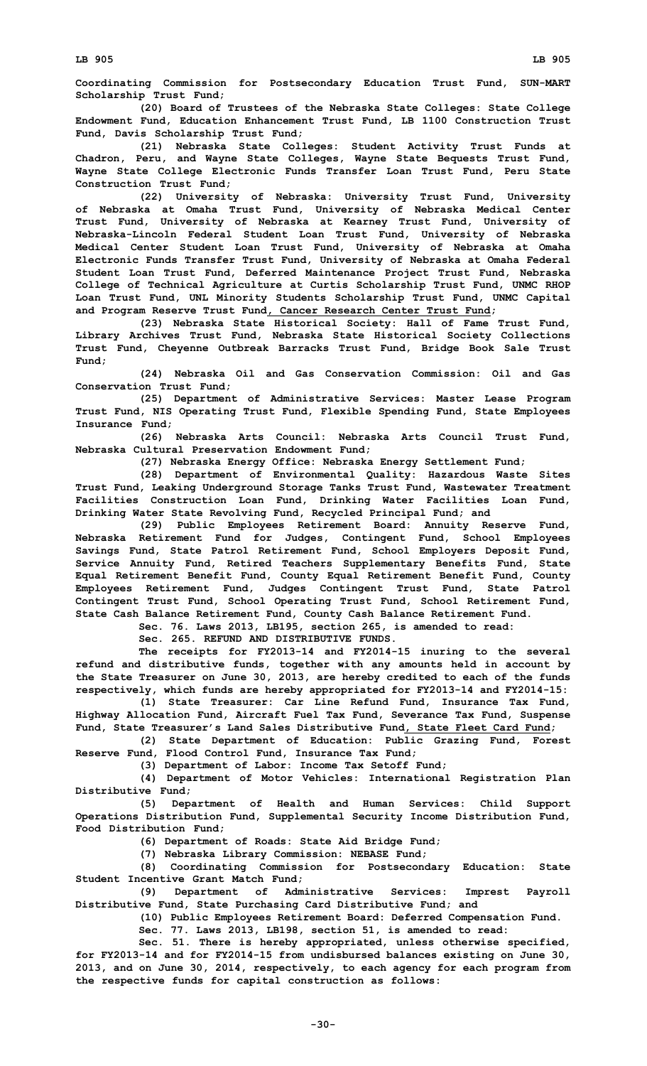**Coordinating Commission for Postsecondary Education Trust Fund, SUN-MART Scholarship Trust Fund;**

**(20) Board of Trustees of the Nebraska State Colleges: State College Endowment Fund, Education Enhancement Trust Fund, LB 1100 Construction Trust Fund, Davis Scholarship Trust Fund;**

**(21) Nebraska State Colleges: Student Activity Trust Funds at Chadron, Peru, and Wayne State Colleges, Wayne State Bequests Trust Fund, Wayne State College Electronic Funds Transfer Loan Trust Fund, Peru State Construction Trust Fund;**

**(22) University of Nebraska: University Trust Fund, University of Nebraska at Omaha Trust Fund, University of Nebraska Medical Center Trust Fund, University of Nebraska at Kearney Trust Fund, University of Nebraska-Lincoln Federal Student Loan Trust Fund, University of Nebraska Medical Center Student Loan Trust Fund, University of Nebraska at Omaha Electronic Funds Transfer Trust Fund, University of Nebraska at Omaha Federal Student Loan Trust Fund, Deferred Maintenance Project Trust Fund, Nebraska College of Technical Agriculture at Curtis Scholarship Trust Fund, UNMC RHOP Loan Trust Fund, UNL Minority Students Scholarship Trust Fund, UNMC Capital and Program Reserve Trust Fund, Cancer Research Center Trust Fund;**

**(23) Nebraska State Historical Society: Hall of Fame Trust Fund, Library Archives Trust Fund, Nebraska State Historical Society Collections Trust Fund, Cheyenne Outbreak Barracks Trust Fund, Bridge Book Sale Trust Fund;**

**(24) Nebraska Oil and Gas Conservation Commission: Oil and Gas Conservation Trust Fund;**

**(25) Department of Administrative Services: Master Lease Program Trust Fund, NIS Operating Trust Fund, Flexible Spending Fund, State Employees Insurance Fund;**

**(26) Nebraska Arts Council: Nebraska Arts Council Trust Fund, Nebraska Cultural Preservation Endowment Fund;**

**(27) Nebraska Energy Office: Nebraska Energy Settlement Fund;**

**(28) Department of Environmental Quality: Hazardous Waste Sites Trust Fund, Leaking Underground Storage Tanks Trust Fund, Wastewater Treatment Facilities Construction Loan Fund, Drinking Water Facilities Loan Fund, Drinking Water State Revolving Fund, Recycled Principal Fund; and**

**(29) Public Employees Retirement Board: Annuity Reserve Fund, Nebraska Retirement Fund for Judges, Contingent Fund, School Employees Savings Fund, State Patrol Retirement Fund, School Employers Deposit Fund, Service Annuity Fund, Retired Teachers Supplementary Benefits Fund, State Equal Retirement Benefit Fund, County Equal Retirement Benefit Fund, County Employees Retirement Fund, Judges Contingent Trust Fund, State Patrol Contingent Trust Fund, School Operating Trust Fund, School Retirement Fund, State Cash Balance Retirement Fund, County Cash Balance Retirement Fund.**

**Sec. 76. Laws 2013, LB195, section 265, is amended to read:**

**Sec. 265. REFUND AND DISTRIBUTIVE FUNDS.**

**The receipts for FY2013-14 and FY2014-15 inuring to the several refund and distributive funds, together with any amounts held in account by the State Treasurer on June 30, 2013, are hereby credited to each of the funds respectively, which funds are hereby appropriated for FY2013-14 and FY2014-15:**

**(1) State Treasurer: Car Line Refund Fund, Insurance Tax Fund, Highway Allocation Fund, Aircraft Fuel Tax Fund, Severance Tax Fund, Suspense Fund, State Treasurer's Land Sales Distributive Fund, State Fleet Card Fund;**

**(2) State Department of Education: Public Grazing Fund, Forest Reserve Fund, Flood Control Fund, Insurance Tax Fund;**

**(3) Department of Labor: Income Tax Setoff Fund;**

**(4) Department of Motor Vehicles: International Registration Plan Distributive Fund;**

**(5) Department of Health and Human Services: Child Support Operations Distribution Fund, Supplemental Security Income Distribution Fund, Food Distribution Fund;**

**(6) Department of Roads: State Aid Bridge Fund;**

**(7) Nebraska Library Commission: NEBASE Fund;**

**(8) Coordinating Commission for Postsecondary Education: State Student Incentive Grant Match Fund;**

**(9) Department of Administrative Services: Imprest Payroll Distributive Fund, State Purchasing Card Distributive Fund; and**

**(10) Public Employees Retirement Board: Deferred Compensation Fund.**

**Sec. 77. Laws 2013, LB198, section 51, is amended to read:**

**Sec. 51. There is hereby appropriated, unless otherwise specified, for FY2013-14 and for FY2014-15 from undisbursed balances existing on June 30, 2013, and on June 30, 2014, respectively, to each agency for each program from the respective funds for capital construction as follows:**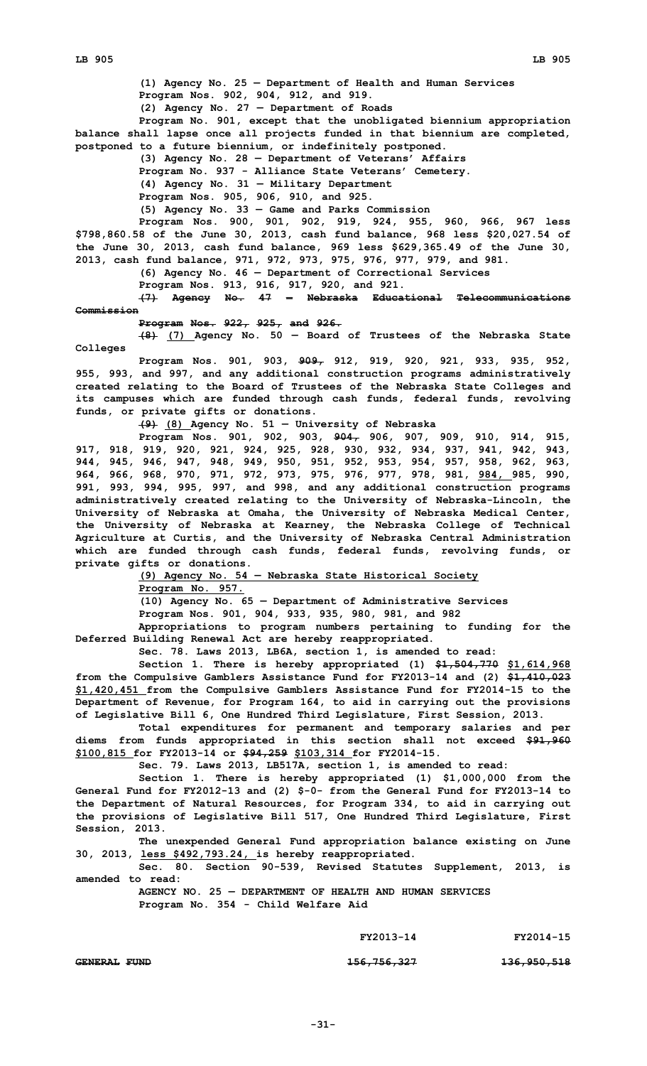**(1) Agency No. 25 — Department of Health and Human Services Program Nos. 902, 904, 912, and 919. (2) Agency No. 27 — Department of Roads Program No. 901, except that the unobligated biennium appropriation balance shall lapse once all projects funded in that biennium are completed, postponed to <sup>a</sup> future biennium, or indefinitely postponed. (3) Agency No. 28 — Department of Veterans' Affairs Program No. 937 - Alliance State Veterans' Cemetery. (4) Agency No. 31 — Military Department Program Nos. 905, 906, 910, and 925. (5) Agency No. 33 — Game and Parks Commission Program Nos. 900, 901, 902, 919, 924, 955, 960, 966, 967 less \$798,860.58 of the June 30, 2013, cash fund balance, 968 less \$20,027.54 of the June 30, 2013, cash fund balance, 969 less \$629,365.49 of the June 30, 2013, cash fund balance, 971, 972, 973, 975, 976, 977, 979, and 981.**

**(6) Agency No. 46 — Department of Correctional Services Program Nos. 913, 916, 917, 920, and 921.**

**(7) Agency No. 47 — Nebraska Educational Telecommunications Commission**

**Program Nos. 922, 925, and 926.**

**(8) (7) Agency No. 50 — Board of Trustees of the Nebraska State Colleges**

**Program Nos. 901, 903, 909, 912, 919, 920, 921, 933, 935, 952, 955, 993, and 997, and any additional construction programs administratively created relating to the Board of Trustees of the Nebraska State Colleges and its campuses which are funded through cash funds, federal funds, revolving funds, or private gifts or donations.**

**(9) (8) Agency No. 51 — University of Nebraska**

**Program Nos. 901, 902, 903, 904, 906, 907, 909, 910, 914, 915, 917, 918, 919, 920, 921, 924, 925, 928, 930, 932, 934, 937, 941, 942, 943, 944, 945, 946, 947, 948, 949, 950, 951, 952, 953, 954, 957, 958, 962, 963, 964, 966, 968, 970, 971, 972, 973, 975, 976, 977, 978, 981, 984, 985, 990, 991, 993, 994, 995, 997, and 998, and any additional construction programs administratively created relating to the University of Nebraska-Lincoln, the University of Nebraska at Omaha, the University of Nebraska Medical Center, the University of Nebraska at Kearney, the Nebraska College of Technical Agriculture at Curtis, and the University of Nebraska Central Administration which are funded through cash funds, federal funds, revolving funds, or private gifts or donations.**

**(9) Agency No. 54 — Nebraska State Historical Society**

**Program No. 957.**

**(10) Agency No. 65 — Department of Administrative Services**

**Program Nos. 901, 904, 933, 935, 980, 981, and 982**

**Appropriations to program numbers pertaining to funding for the Deferred Building Renewal Act are hereby reappropriated.**

**Sec. 78. Laws 2013, LB6A, section 1, is amended to read:**

**Section 1. There is hereby appropriated (1) \$1,504,770 \$1,614,968 from the Compulsive Gamblers Assistance Fund for FY2013-14 and (2) \$1,410,023 \$1,420,451 from the Compulsive Gamblers Assistance Fund for FY2014-15 to the Department of Revenue, for Program 164, to aid in carrying out the provisions of Legislative Bill 6, One Hundred Third Legislature, First Session, 2013.**

**Total expenditures for permanent and temporary salaries and per diems from funds appropriated in this section shall not exceed \$91,960 \$100,815 for FY2013-14 or \$94,259 \$103,314 for FY2014-15.**

**Sec. 79. Laws 2013, LB517A, section 1, is amended to read:**

**Section 1. There is hereby appropriated (1) \$1,000,000 from the General Fund for FY2012-13 and (2) \$-0- from the General Fund for FY2013-14 to the Department of Natural Resources, for Program 334, to aid in carrying out the provisions of Legislative Bill 517, One Hundred Third Legislature, First Session, 2013.**

**The unexpended General Fund appropriation balance existing on June 30, 2013, less \$492,793.24, is hereby reappropriated.**

**Sec. 80. Section 90-539, Revised Statutes Supplement, 2013, is amended to read:**

**AGENCY NO. 25 — DEPARTMENT OF HEALTH AND HUMAN SERVICES Program No. 354 - Child Welfare Aid**

**FY2013-14 FY2014-15**

**GENERAL FUND 156,756,327 136,950,518**

**-31-**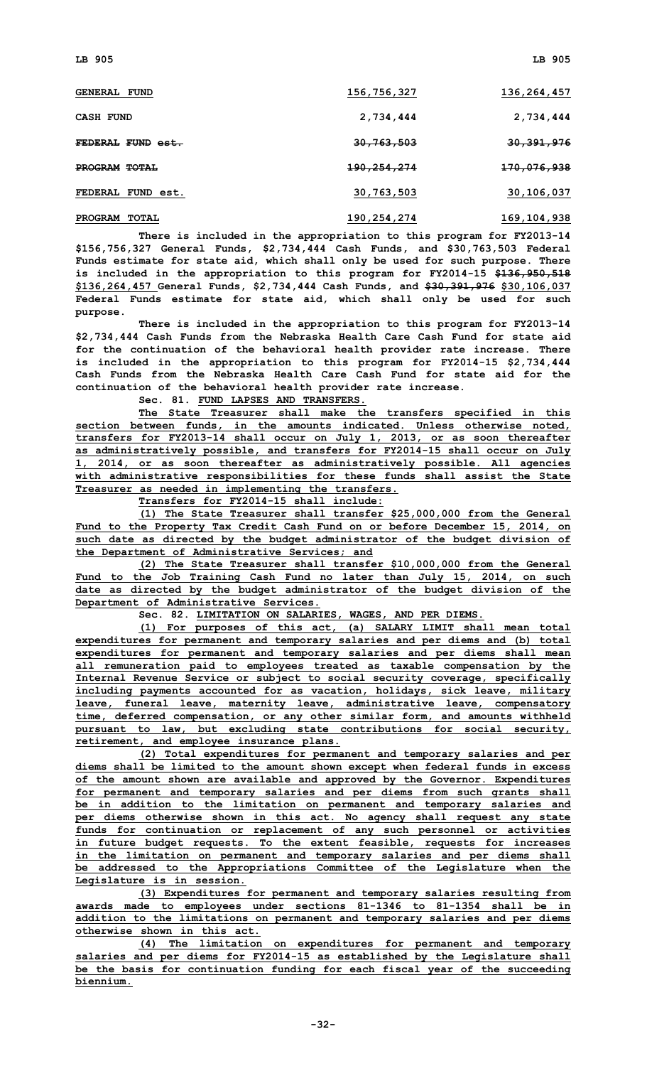| <b>GENERAL FUND</b>            | 156,756,327            | 136,264,457            |
|--------------------------------|------------------------|------------------------|
| <b>CASH FUND</b>               | 2,734,444              | 2,734,444              |
| FEDERAL FUND est.              | <del>30,763,503</del>  | 30, 391, 976           |
| PROGRAM TOTAL                  | <del>190,254,274</del> | <del>170,076,938</del> |
| FEDERAL FUND est.              | 30,763,503             | 30,106,037             |
| <b>PROGRAM</b><br><b>TOTAL</b> | 190,254,274            | 169, 104, 938          |

**There is included in the appropriation to this program for FY2013-14 \$156,756,327 General Funds, \$2,734,444 Cash Funds, and \$30,763,503 Federal Funds estimate for state aid, which shall only be used for such purpose. There is included in the appropriation to this program for FY2014-15 \$136,950,518 \$136,264,457 General Funds, \$2,734,444 Cash Funds, and \$30,391,976 \$30,106,037 Federal Funds estimate for state aid, which shall only be used for such purpose.**

**There is included in the appropriation to this program for FY2013-14 \$2,734,444 Cash Funds from the Nebraska Health Care Cash Fund for state aid for the continuation of the behavioral health provider rate increase. There is included in the appropriation to this program for FY2014-15 \$2,734,444 Cash Funds from the Nebraska Health Care Cash Fund for state aid for the continuation of the behavioral health provider rate increase.**

**Sec. 81. FUND LAPSES AND TRANSFERS.**

**The State Treasurer shall make the transfers specified in this section between funds, in the amounts indicated. Unless otherwise noted, transfers for FY2013-14 shall occur on July 1, 2013, or as soon thereafter as administratively possible, and transfers for FY2014-15 shall occur on July 1, 2014, or as soon thereafter as administratively possible. All agencies with administrative responsibilities for these funds shall assist the State Treasurer as needed in implementing the transfers.**

**Transfers for FY2014-15 shall include:**

**(1) The State Treasurer shall transfer \$25,000,000 from the General Fund to the Property Tax Credit Cash Fund on or before December 15, 2014, on such date as directed by the budget administrator of the budget division of the Department of Administrative Services; and**

**(2) The State Treasurer shall transfer \$10,000,000 from the General Fund to the Job Training Cash Fund no later than July 15, 2014, on such date as directed by the budget administrator of the budget division of the Department of Administrative Services.**

**Sec. 82. LIMITATION ON SALARIES, WAGES, AND PER DIEMS.**

**(1) For purposes of this act, (a) SALARY LIMIT shall mean total expenditures for permanent and temporary salaries and per diems and (b) total expenditures for permanent and temporary salaries and per diems shall mean all remuneration paid to employees treated as taxable compensation by the Internal Revenue Service or subject to social security coverage, specifically including payments accounted for as vacation, holidays, sick leave, military leave, funeral leave, maternity leave, administrative leave, compensatory time, deferred compensation, or any other similar form, and amounts withheld pursuant to law, but excluding state contributions for social security, retirement, and employee insurance plans.**

**(2) Total expenditures for permanent and temporary salaries and per diems shall be limited to the amount shown except when federal funds in excess of the amount shown are available and approved by the Governor. Expenditures for permanent and temporary salaries and per diems from such grants shall be in addition to the limitation on permanent and temporary salaries and per diems otherwise shown in this act. No agency shall request any state funds for continuation or replacement of any such personnel or activities in future budget requests. To the extent feasible, requests for increases in the limitation on permanent and temporary salaries and per diems shall be addressed to the Appropriations Committee of the Legislature when the Legislature is in session.**

**(3) Expenditures for permanent and temporary salaries resulting from awards made to employees under sections 81-1346 to 81-1354 shall be in addition to the limitations on permanent and temporary salaries and per diems otherwise shown in this act.**

**(4) The limitation on expenditures for permanent and temporary salaries and per diems for FY2014-15 as established by the Legislature shall be the basis for continuation funding for each fiscal year of the succeeding biennium.**